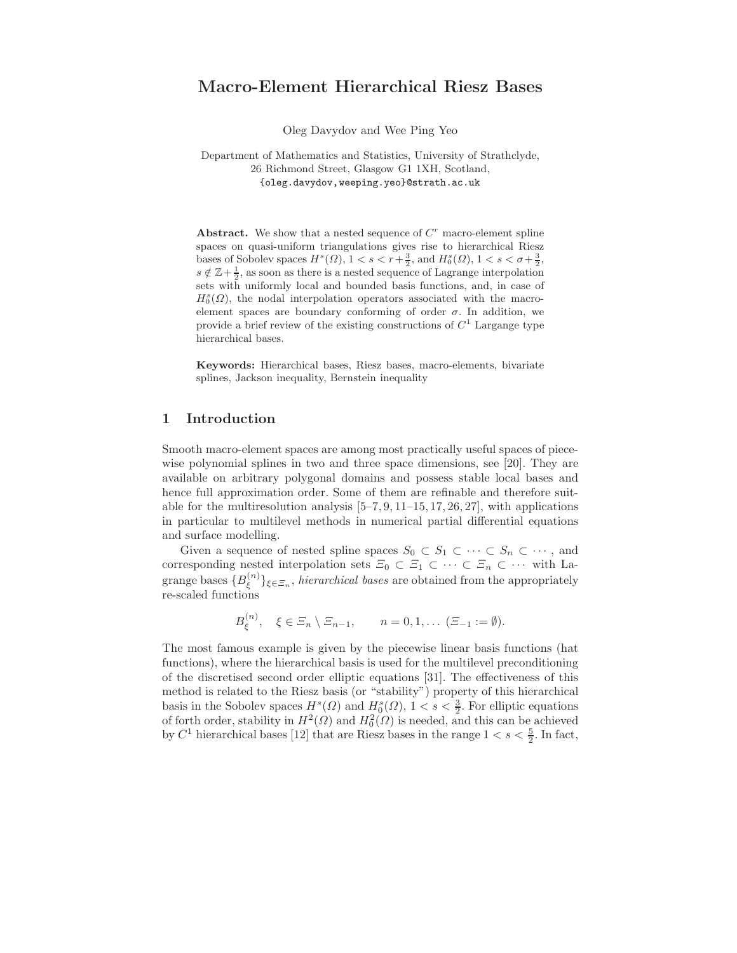# Macro-Element Hierarchical Riesz Bases

Oleg Davydov and Wee Ping Yeo

Department of Mathematics and Statistics, University of Strathclyde, 26 Richmond Street, Glasgow G1 1XH, Scotland, {oleg.davydov,weeping.yeo}@strath.ac.uk

Abstract. We show that a nested sequence of  $C<sup>r</sup>$  macro-element spline spaces on quasi-uniform triangulations gives rise to hierarchical Riesz bases of Sobolev spaces  $H^s(\Omega)$ ,  $1 < s < r + \frac{3}{2}$ , and  $H_0^s(\Omega)$ ,  $1 < s < \sigma + \frac{3}{2}$ ,  $s \notin \mathbb{Z}+\frac{1}{2}$ , as soon as there is a nested sequence of Lagrange interpolation sets with uniformly local and bounded basis functions, and, in case of  $H_0^s(\Omega)$ , the nodal interpolation operators associated with the macroelement spaces are boundary conforming of order  $\sigma$ . In addition, we provide a brief review of the existing constructions of  $C<sup>1</sup>$  Largange type hierarchical bases.

Keywords: Hierarchical bases, Riesz bases, macro-elements, bivariate splines, Jackson inequality, Bernstein inequality

# 1 Introduction

Smooth macro-element spaces are among most practically useful spaces of piecewise polynomial splines in two and three space dimensions, see [20]. They are available on arbitrary polygonal domains and possess stable local bases and hence full approximation order. Some of them are refinable and therefore suitable for the multiresolution analysis  $[5-7, 9, 11-15, 17, 26, 27]$ , with applications in particular to multilevel methods in numerical partial differential equations and surface modelling.

Given a sequence of nested spline spaces  $S_0 \subset S_1 \subset \cdots \subset S_n \subset \cdots$ , and corresponding nested interpolation sets  $\Xi_0 \subset \Xi_1 \subset \cdots \subset \Xi_n \subset \cdots$  with Lagrange bases  $\{B_{\xi}^{(n)}\}$  $\{\xi^{(n)}\}_{\xi \in \Xi_n}$ , hierarchical bases are obtained from the appropriately re-scaled functions

$$
B_{\xi}^{(n)}, \quad \xi \in \Xi_n \setminus \Xi_{n-1}, \qquad n = 0, 1, \ldots \ (\Xi_{-1} := \emptyset).
$$

The most famous example is given by the piecewise linear basis functions (hat functions), where the hierarchical basis is used for the multilevel preconditioning of the discretised second order elliptic equations [31]. The effectiveness of this method is related to the Riesz basis (or "stability") property of this hierarchical basis in the Sobolev spaces  $H^s(\Omega)$  and  $H_0^s(\Omega)$ ,  $1 < s < \frac{3}{2}$ . For elliptic equations of forth order, stability in  $H^2(\Omega)$  and  $H_0^2(\Omega)$  is needed, and this can be achieved by  $C^1$  hierarchical bases [12] that are Riesz bases in the range  $1 < s < \frac{5}{2}$ . In fact,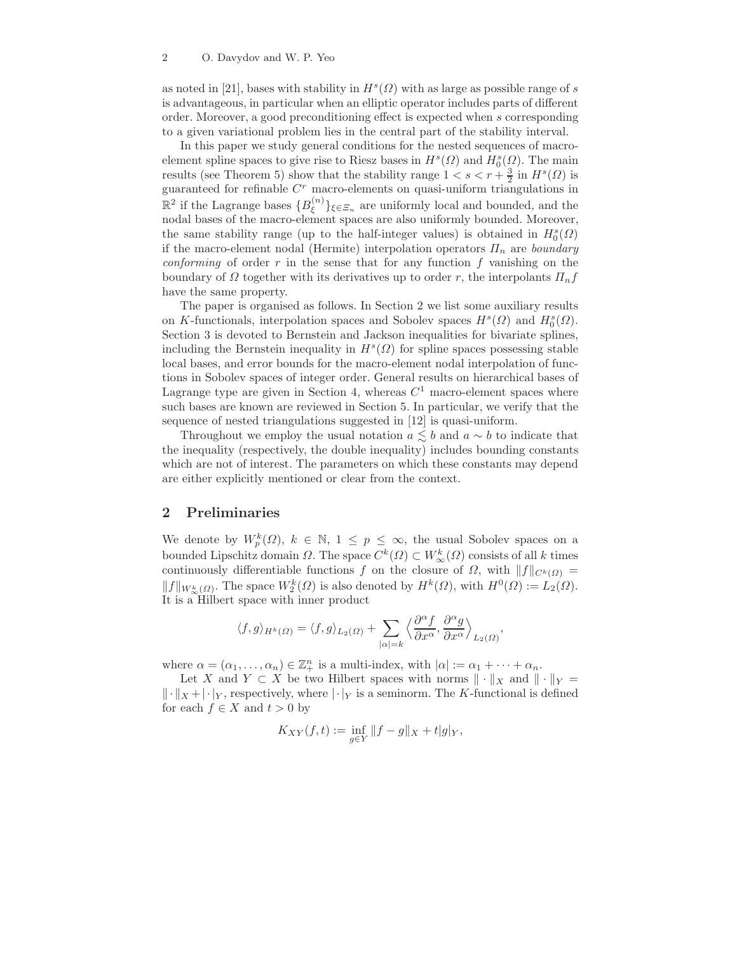as noted in [21], bases with stability in  $H^s(\Omega)$  with as large as possible range of s is advantageous, in particular when an elliptic operator includes parts of different order. Moreover, a good preconditioning effect is expected when s corresponding to a given variational problem lies in the central part of the stability interval.

In this paper we study general conditions for the nested sequences of macroelement spline spaces to give rise to Riesz bases in  $H^s(\Omega)$  and  $H^s_0(\Omega)$ . The main results (see Theorem 5) show that the stability range  $1 < s < r + \frac{3}{2}$  in  $H<sup>s</sup>(\Omega)$  is guaranteed for refinable  $C<sup>r</sup>$  macro-elements on quasi-uniform triangulations in  $\mathbb{R}^2$  if the Lagrange bases  $\{B_{\xi}^{(n)}\}$  $\{\xi^{(n)}\}_{\xi \in \Xi_n}$  are uniformly local and bounded, and the nodal bases of the macro-element spaces are also uniformly bounded. Moreover, the same stability range (up to the half-integer values) is obtained in  $H_0^s(\Omega)$ if the macro-element nodal (Hermite) interpolation operators  $\Pi_n$  are boundary *conforming* of order  $r$  in the sense that for any function  $f$  vanishing on the boundary of  $\Omega$  together with its derivatives up to order r, the interpolants  $\Pi_n f$ have the same property.

The paper is organised as follows. In Section 2 we list some auxiliary results on K-functionals, interpolation spaces and Sobolev spaces  $H^s(\Omega)$  and  $H_0^s(\Omega)$ . Section 3 is devoted to Bernstein and Jackson inequalities for bivariate splines, including the Bernstein inequality in  $H<sup>s</sup>(\Omega)$  for spline spaces possessing stable local bases, and error bounds for the macro-element nodal interpolation of functions in Sobolev spaces of integer order. General results on hierarchical bases of Lagrange type are given in Section 4, whereas  $C<sup>1</sup>$  macro-element spaces where such bases are known are reviewed in Section 5. In particular, we verify that the sequence of nested triangulations suggested in [12] is quasi-uniform.

Throughout we employ the usual notation  $a \leq b$  and  $a \sim b$  to indicate that the inequality (respectively, the double inequality) includes bounding constants which are not of interest. The parameters on which these constants may depend are either explicitly mentioned or clear from the context.

## 2 Preliminaries

We denote by  $W_p^k(\Omega)$ ,  $k \in \mathbb{N}$ ,  $1 \le p \le \infty$ , the usual Sobolev spaces on a bounded Lipschitz domain  $\Omega$ . The space  $C^k(\Omega) \subset W^k_{\infty}(\Omega)$  consists of all k times continuously differentiable functions f on the closure of  $\Omega$ , with  $||f||_{C^k(\Omega)} =$  $||f||_{W^k_{\infty}(\Omega)}$ . The space  $W^k_2(\Omega)$  is also denoted by  $H^k(\Omega)$ , with  $H^0(\Omega) := L_2(\Omega)$ . It is a Hilbert space with inner product

$$
\langle f, g \rangle_{H^k(\varOmega)} = \langle f, g \rangle_{L_2(\varOmega)} + \sum_{|\alpha| = k} \Big\langle \frac{\partial^\alpha f}{\partial x^\alpha}, \frac{\partial^\alpha g}{\partial x^\alpha} \Big\rangle_{L_2(\varOmega)}
$$

,

where  $\alpha = (\alpha_1, \ldots, \alpha_n) \in \mathbb{Z}_+^n$  is a multi-index, with  $|\alpha| := \alpha_1 + \cdots + \alpha_n$ .

Let X and  $Y \subset X$  be two Hilbert spaces with norms  $\|\cdot\|_X$  and  $\|\cdot\|_Y =$  $\|\cdot\|_X + |\cdot|_Y$ , respectively, where  $|\cdot|_Y$  is a seminorm. The K-functional is defined for each  $f \in X$  and  $t > 0$  by

$$
K_{XY}(f,t) := \inf_{g \in Y} ||f - g||_X + t|g|_Y,
$$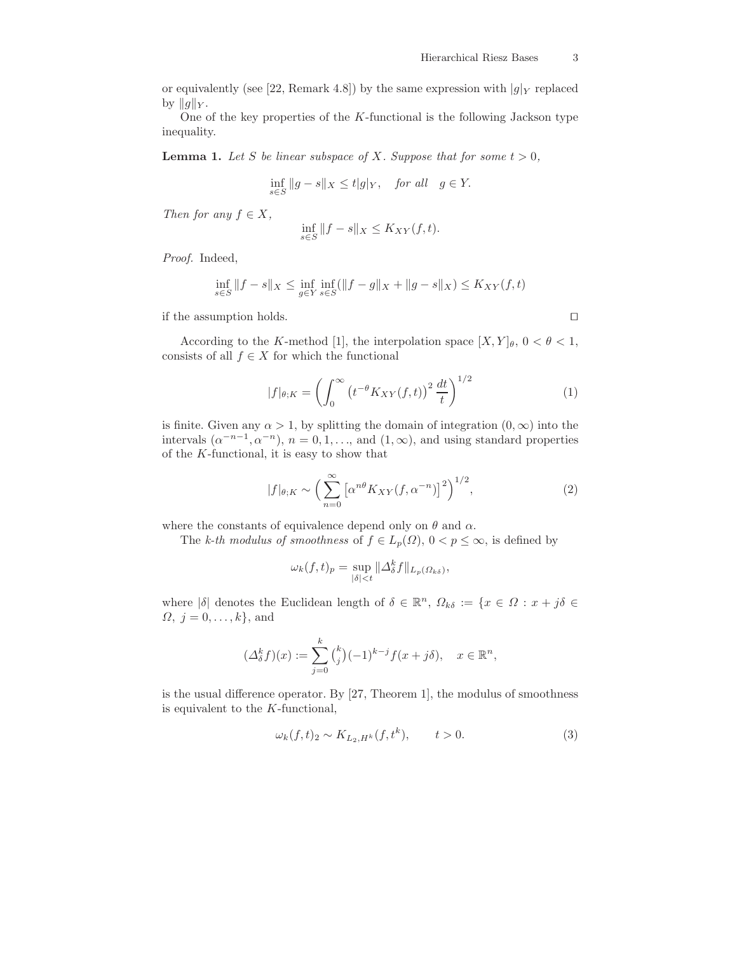or equivalently (see [22, Remark 4.8]) by the same expression with  $|g|_Y$  replaced by  $||g||_Y$ .

One of the key properties of the  $K$ -functional is the following Jackson type inequality.

**Lemma 1.** Let S be linear subspace of X. Suppose that for some  $t > 0$ ,

$$
\inf_{s \in S} \|g - s\|_X \le t|g|_Y, \quad \text{for all} \quad g \in Y.
$$

Then for any  $f \in X$ ,

$$
\inf_{s \in S} \|f - s\|_X \le K_{XY}(f, t).
$$

Proof. Indeed,

$$
\inf_{s \in S} \|f - s\|_X \le \inf_{g \in Y} \inf_{s \in S} (\|f - g\|_X + \|g - s\|_X) \le K_{XY}(f, t)
$$

if the assumption holds. ⊓⊔

According to the K-method [1], the interpolation space  $[X, Y]_\theta$ ,  $0 < \theta < 1$ , consists of all  $f \in X$  for which the functional

$$
|f|_{\theta;K} = \left(\int_0^\infty \left(t^{-\theta} K_{XY}(f,t)\right)^2 \frac{dt}{t}\right)^{1/2} \tag{1}
$$

is finite. Given any  $\alpha > 1$ , by splitting the domain of integration  $(0, \infty)$  into the intervals  $(\alpha^{-n-1}, \alpha^{-n})$ ,  $n = 0, 1, \ldots$ , and  $(1, \infty)$ , and using standard properties of the K-functional, it is easy to show that

$$
|f|_{\theta;K} \sim \left(\sum_{n=0}^{\infty} \left[\alpha^{n\theta} K_{XY}(f,\alpha^{-n})\right]^2\right)^{1/2},\tag{2}
$$

where the constants of equivalence depend only on  $\theta$  and  $\alpha$ .

The k-th modulus of smoothness of  $f \in L_p(\Omega)$ ,  $0 < p \leq \infty$ , is defined by

$$
\omega_k(f,t)_p = \sup_{|\delta| < t} \|\Delta_\delta^k f\|_{L_p(\Omega_{k\delta})},
$$

where  $|\delta|$  denotes the Euclidean length of  $\delta \in \mathbb{R}^n$ ,  $\Omega_{k\delta} := \{x \in \Omega : x + j\delta \in \mathbb{R}^n\}$  $\Omega, j = 0, \ldots, k$ , and

$$
(\Delta_{\delta}^k f)(x) := \sum_{j=0}^k {k \choose j} (-1)^{k-j} f(x+j\delta), \quad x \in \mathbb{R}^n,
$$

is the usual difference operator. By [27, Theorem 1], the modulus of smoothness is equivalent to the K-functional,

$$
\omega_k(f, t)_2 \sim K_{L_2, H^k}(f, t^k), \qquad t > 0.
$$
\n
$$
(3)
$$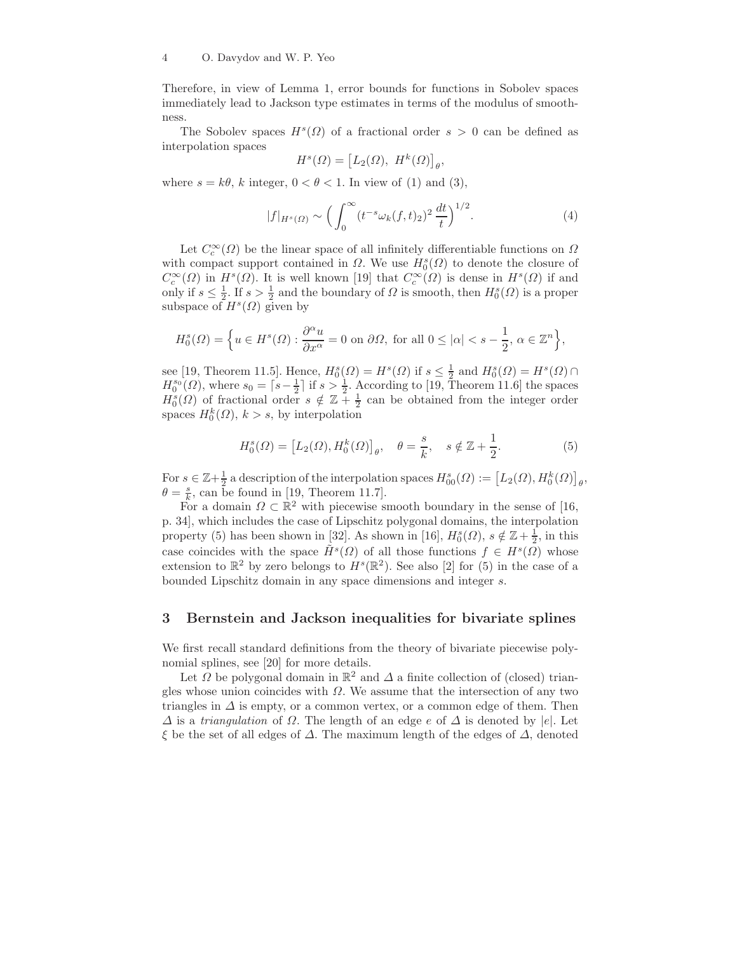Therefore, in view of Lemma 1, error bounds for functions in Sobolev spaces immediately lead to Jackson type estimates in terms of the modulus of smoothness.

The Sobolev spaces  $H^s(\Omega)$  of a fractional order  $s > 0$  can be defined as interpolation spaces

$$
H^s(\Omega) = \left[L_2(\Omega), H^k(\Omega)\right]_\theta,
$$

where  $s = k\theta$ , k integer,  $0 < \theta < 1$ . In view of (1) and (3),

$$
|f|_{H^s(\Omega)} \sim \left(\int_0^\infty (t^{-s}\omega_k(f,t)_2)^2 \,\frac{dt}{t}\right)^{1/2}.\tag{4}
$$

Let  $C_c^{\infty}(\Omega)$  be the linear space of all infinitely differentiable functions on  $\Omega$ with compact support contained in  $\Omega$ . We use  $H_0^s(\Omega)$  to denote the closure of  $C_c^{\infty}(\Omega)$  in  $H^s(\Omega)$ . It is well known [19] that  $C_c^{\infty}(\Omega)$  is dense in  $H^s(\Omega)$  if and only if  $s \leq \frac{1}{2}$ . If  $s > \frac{1}{2}$  and the boundary of  $\Omega$  is smooth, then  $H_0^s(\Omega)$  is a proper subspace of  $H^s(\Omega)$  given by

$$
H_0^s(\varOmega)=\Big\{u\in H^s(\varOmega): \frac{\partial^\alpha u}{\partial x^\alpha}=0\,\,\text{on}\,\,\partial\varOmega,\,\,\text{for all}\,\,0\leq |\alpha|
$$

see [19, Theorem 11.5]. Hence,  $H_0^s(\Omega) = H^s(\Omega)$  if  $s \leq \frac{1}{2}$  and  $H_0^s(\Omega) = H^s(\Omega) \cap$  $H_0^{s_0}(\Omega)$ , where  $s_0 = \lceil s - \frac{1}{2} \rceil$  if  $s > \frac{1}{2}$ . According to [19, Theorem 11.6] the spaces  $H_0^s(\Omega)$  of fractional order  $s \notin \mathbb{Z}_+^{\times}$  and be obtained from the integer order spaces  $H_0^k(\Omega)$ ,  $k > s$ , by interpolation

$$
H_0^s(\Omega) = [L_2(\Omega), H_0^k(\Omega)]_\theta, \quad \theta = \frac{s}{k}, \quad s \notin \mathbb{Z} + \frac{1}{2}.
$$
 (5)

For  $s \in \mathbb{Z}+\frac{1}{2}$  a description of the interpolation spaces  $H_{00}^s(\Omega) := \big[L_2(\Omega), H_0^k(\Omega)\big]_\theta,$  $\theta = \frac{s}{k}$ , can be found in [19, Theorem 11.7].

For a domain  $\Omega \subset \mathbb{R}^2$  with piecewise smooth boundary in the sense of [16, p. 34], which includes the case of Lipschitz polygonal domains, the interpolation property (5) has been shown in [32]. As shown in [16],  $H_0^s(\Omega)$ ,  $s \notin \mathbb{Z}+\frac{1}{2}$ , in this case coincides with the space  $\tilde{H}^s(\Omega)$  of all those functions  $f \in H^s(\Omega)$  whose extension to  $\mathbb{R}^2$  by zero belongs to  $H^s(\mathbb{R}^2)$ . See also [2] for (5) in the case of a bounded Lipschitz domain in any space dimensions and integer s.

## 3 Bernstein and Jackson inequalities for bivariate splines

We first recall standard definitions from the theory of bivariate piecewise polynomial splines, see [20] for more details.

Let  $\Omega$  be polygonal domain in  $\mathbb{R}^2$  and  $\Delta$  a finite collection of (closed) triangles whose union coincides with  $\Omega$ . We assume that the intersection of any two triangles in  $\Delta$  is empty, or a common vertex, or a common edge of them. Then  $\Delta$  is a triangulation of  $\Omega$ . The length of an edge e of  $\Delta$  is denoted by |e|. Let ξ be the set of all edges of ∆. The maximum length of the edges of ∆, denoted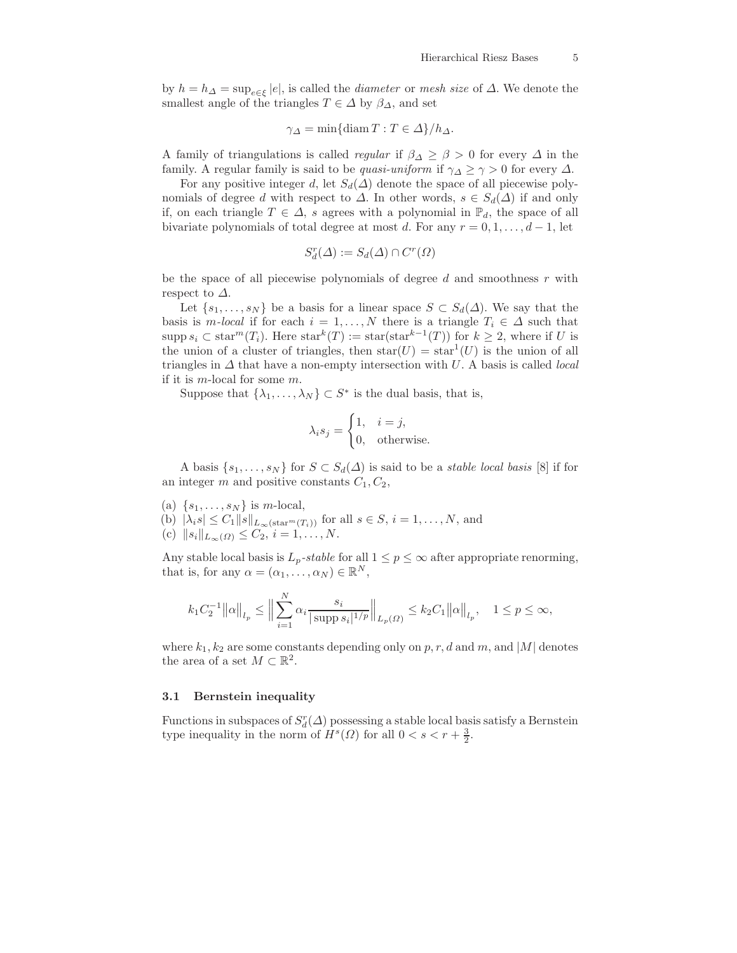by  $h = h_{\Delta} = \sup_{e \in \xi} |e|$ , is called the *diameter* or *mesh size* of  $\Delta$ . We denote the smallest angle of the triangles  $T \in \Delta$  by  $\beta_{\Delta}$ , and set

$$
\gamma_{\Delta} = \min\{\text{diam } T : T \in \Delta\}/h_{\Delta}.
$$

A family of triangulations is called *regular* if  $\beta_{\Delta} \geq \beta > 0$  for every  $\Delta$  in the family. A regular family is said to be *quasi-uniform* if  $\gamma_{\Delta} \ge \gamma > 0$  for every  $\Delta$ .

For any positive integer d, let  $S_d(\Delta)$  denote the space of all piecewise polynomials of degree d with respect to  $\Delta$ . In other words,  $s \in S_d(\Delta)$  if and only if, on each triangle  $T \in \Delta$ , s agrees with a polynomial in  $\mathbb{P}_d$ , the space of all bivariate polynomials of total degree at most d. For any  $r = 0, 1, \ldots, d - 1$ , let

$$
S_d^r(\Delta) := S_d(\Delta) \cap C^r(\Omega)
$$

be the space of all piecewise polynomials of degree  $d$  and smoothness  $r$  with respect to  $\Delta$ .

Let  $\{s_1, \ldots, s_N\}$  be a basis for a linear space  $S \subset S_d(\Delta)$ . We say that the basis is m-local if for each  $i = 1, ..., N$  there is a triangle  $T_i \in \Delta$  such that supp  $s_i \text{ }\subset \text{ star}^m(T_i)$ . Here  $\text{ star}^k(T) := \text{ star}(\text{ star}^{k-1}(T))$  for  $k \geq 2$ , where if U is the union of a cluster of triangles, then  $star(U) = star<sup>1</sup>(U)$  is the union of all triangles in  $\Delta$  that have a non-empty intersection with U. A basis is called *local* if it is m-local for some m.

Suppose that  $\{\lambda_1, \ldots, \lambda_N\} \subset S^*$  is the dual basis, that is,

$$
\lambda_i s_j = \begin{cases} 1, & i = j, \\ 0, & \text{otherwise.} \end{cases}
$$

A basis  $\{s_1, \ldots, s_N\}$  for  $S \subset S_d(\Delta)$  is said to be a *stable local basis* [8] if for an integer  $m$  and positive constants  $C_1, C_2$ ,

- (a)  $\{s_1, \ldots, s_N\}$  is m-local,
- (b)  $|\lambda_i s| \leq C_1 ||s||_{L_\infty(\text{star}^m(T_i))}$  for all  $s \in S, i = 1, ..., N$ , and
- (c)  $||s_i||_{L_{\infty}(\Omega)} \leq C_2, i = 1, ..., N.$

Any stable local basis is  $L_p$ -stable for all  $1 \leq p \leq \infty$  after appropriate renorming, that is, for any  $\alpha = (\alpha_1, \ldots, \alpha_N) \in \mathbb{R}^N$ ,

$$
k_1 C_2^{-1} ||\alpha||_{l_p} \le ||\sum_{i=1}^N \alpha_i \frac{s_i}{|\operatorname{supp} s_i|^{1/p}}||_{L_p(\Omega)} \le k_2 C_1 ||\alpha||_{l_p}, \quad 1 \le p \le \infty,
$$

where  $k_1, k_2$  are some constants depending only on p, r, d and m, and |M| denotes the area of a set  $M \subset \mathbb{R}^2$ .

#### 3.1 Bernstein inequality

Functions in subspaces of  $S_d^r(\Delta)$  possessing a stable local basis satisfy a Bernstein type inequality in the norm of  $H^s(\Omega)$  for all  $0 < s < r + \frac{3}{2}$ .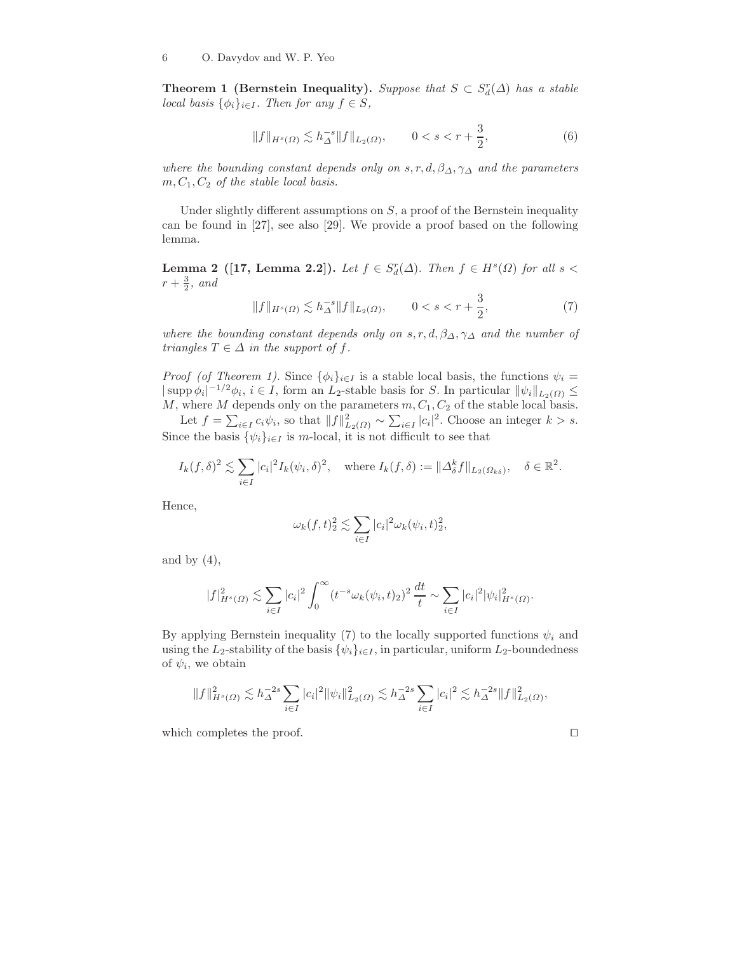**Theorem 1 (Bernstein Inequality).** Suppose that  $S \subset S_d^r(\Delta)$  has a stable local basis  $\{\phi_i\}_{i\in I}$ . Then for any  $f \in S$ ,

$$
||f||_{H^{s}(\Omega)} \lesssim h_{\Delta}^{-s} ||f||_{L_{2}(\Omega)}, \qquad 0 < s < r + \frac{3}{2}, \tag{6}
$$

where the bounding constant depends only on s, r, d,  $\beta_{\Delta}$ ,  $\gamma_{\Delta}$  and the parameters  $m, C_1, C_2$  of the stable local basis.

Under slightly different assumptions on  $S$ , a proof of the Bernstein inequality can be found in [27], see also [29]. We provide a proof based on the following lemma.

**Lemma 2** ([17, Lemma 2.2]). Let  $f \in S_d^r(\Delta)$ . Then  $f \in H^s(\Omega)$  for all  $s <$  $r+\frac{3}{2}$ , and

$$
||f||_{H^{s}(\Omega)} \lesssim h_{\Delta}^{-s} ||f||_{L_{2}(\Omega)}, \qquad 0 < s < r + \frac{3}{2}, \tag{7}
$$

where the bounding constant depends only on s, r, d,  $\beta_{\Delta}$ ,  $\gamma_{\Delta}$  and the number of triangles  $T \in \Delta$  in the support of f.

*Proof (of Theorem 1).* Since  $\{\phi_i\}_{i\in I}$  is a stable local basis, the functions  $\psi_i =$  $|\supp \phi_i|^{-1/2}\phi_i, i \in I$ , form an  $L_2$ -stable basis for S. In particular  $\|\psi_i\|_{L_2(\Omega)} \leq$ M, where M depends only on the parameters  $m, C_1, C_2$  of the stable local basis.

Let  $f = \sum_{i \in I} c_i \psi_i$ , so that  $||f||_{L_2(\Omega)}^2 \sim \sum_{i \in I} |c_i|^2$ . Choose an integer  $k > s$ . Since the basis  $\{\psi_i\}_{i\in I}$  is m-local, it is not difficult to see that

$$
I_k(f,\delta)^2 \lesssim \sum_{i \in I} |c_i|^2 I_k(\psi_i,\delta)^2, \quad \text{where } I_k(f,\delta) := \|\Delta_{\delta}^k f\|_{L_2(\Omega_{k\delta})}, \quad \delta \in \mathbb{R}^2.
$$

Hence,

$$
\omega_k(f,t)_2^2 \lesssim \sum_{i \in I} |c_i|^2 \omega_k(\psi_i,t)_2^2,
$$

and by  $(4)$ ,

$$
|f|_{H^s(\Omega)}^2 \lesssim \sum_{i \in I} |c_i|^2 \int_0^\infty (t^{-s} \omega_k(\psi_i, t)_2)^2 \frac{dt}{t} \sim \sum_{i \in I} |c_i|^2 |\psi_i|_{H^s(\Omega)}^2.
$$

By applying Bernstein inequality (7) to the locally supported functions  $\psi_i$  and using the L<sub>2</sub>-stability of the basis  $\{\psi_i\}_{i\in I}$ , in particular, uniform L<sub>2</sub>-boundedness of  $\psi_i$ , we obtain

$$
||f||_{H^s(\Omega)}^2 \lesssim h_{\Delta}^{-2s} \sum_{i \in I} |c_i|^2 ||\psi_i||_{L_2(\Omega)}^2 \lesssim h_{\Delta}^{-2s} \sum_{i \in I} |c_i|^2 \lesssim h_{\Delta}^{-2s} ||f||_{L_2(\Omega)}^2,
$$

which completes the proof.

$$
\Box
$$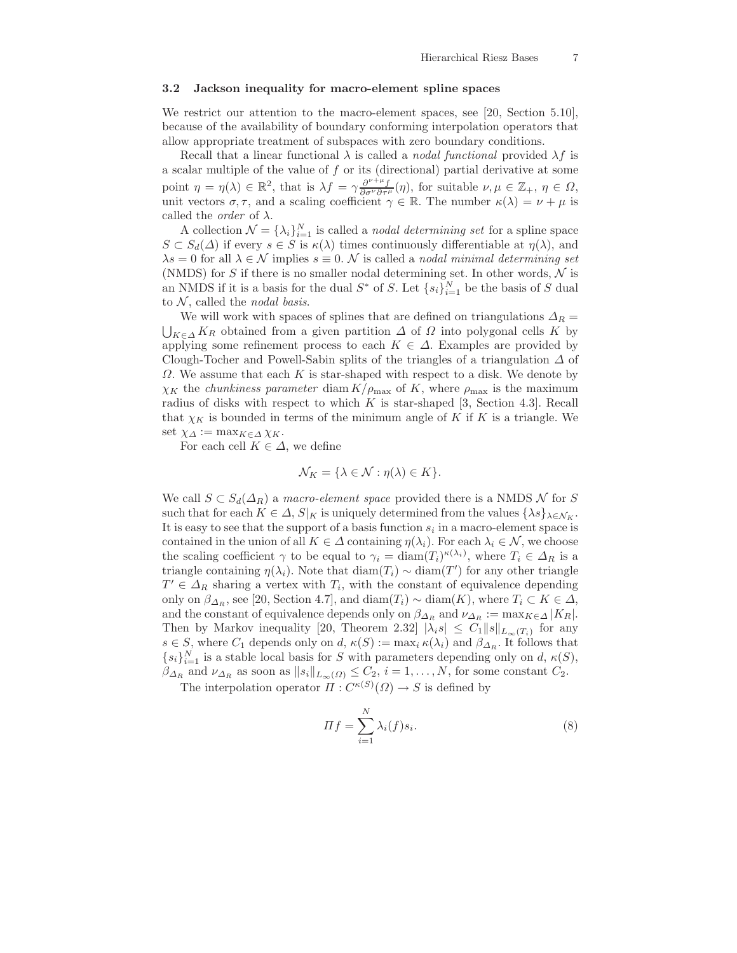#### 3.2 Jackson inequality for macro-element spline spaces

We restrict our attention to the macro-element spaces, see [20, Section 5.10], because of the availability of boundary conforming interpolation operators that allow appropriate treatment of subspaces with zero boundary conditions.

Recall that a linear functional  $\lambda$  is called a *nodal functional* provided  $\lambda f$  is a scalar multiple of the value of  $f$  or its (directional) partial derivative at some point  $\eta = \eta(\lambda) \in \mathbb{R}^2$ , that is  $\lambda f = \gamma \frac{\partial^{\nu+\mu} f}{\partial \sigma^{\nu} \partial \tau^{\mu}}(\eta)$ , for suitable  $\nu, \mu \in \mathbb{Z}_+$ ,  $\eta \in \Omega$ , unit vectors  $\sigma, \tau$ , and a scaling coefficient  $\gamma \in \mathbb{R}$ . The number  $\kappa(\lambda) = \nu + \mu$  is called the *order* of  $\lambda$ .

A collection  $\mathcal{N} = {\lambda_i}_{i=1}^N$  is called a *nodal determining set* for a spline space  $S \subset S_d(\Delta)$  if every  $s \in S$  is  $\kappa(\lambda)$  times continuously differentiable at  $\eta(\lambda)$ , and  $\lambda s = 0$  for all  $\lambda \in \mathcal{N}$  implies  $s \equiv 0$ . N is called a nodal minimal determining set (NMDS) for S if there is no smaller nodal determining set. In other words,  $\mathcal N$  is an NMDS if it is a basis for the dual  $S^*$  of S. Let  $\{s_i\}_{i=1}^N$  be the basis of S dual to N, called the *nodal basis*.<br>We will work with spaces of splines that are defined on triangulations  $\Delta_R =$ 

We will work with spaces of splines that are defined on triangulations  $\Delta_R = \bigcup_{K \in \Delta} K_R$  obtained from a given partition  $\Delta$  of  $\Omega$  into polygonal cells K by applying some refinement process to each  $K \in \Delta$ . Examples are provided by Clough-Tocher and Powell-Sabin splits of the triangles of a triangulation  $\Delta$  of  $\Omega$ . We assume that each K is star-shaped with respect to a disk. We denote by  $\chi_K$  the *chunkiness parameter* diam  $K/\rho_{\text{max}}$  of K, where  $\rho_{\text{max}}$  is the maximum radius of disks with respect to which  $K$  is star-shaped [3, Section 4.3]. Recall that  $\chi_K$  is bounded in terms of the minimum angle of K if K is a triangle. We set  $\chi_{\Delta} := \max_{K \in \Delta} \chi_K$ .

For each cell  $K \in \Delta$ , we define

$$
\mathcal{N}_K = \{ \lambda \in \mathcal{N} : \eta(\lambda) \in K \}.
$$

We call  $S \subset S_d(\Delta_R)$  a macro-element space provided there is a NMDS N for S such that for each  $K \in \Delta$ ,  $S|_K$  is uniquely determined from the values  $\{\lambda s\}_{\lambda \in \mathcal{N}_K}$ . It is easy to see that the support of a basis function  $s_i$  in a macro-element space is contained in the union of all  $K \in \Delta$  containing  $\eta(\lambda_i)$ . For each  $\lambda_i \in \mathcal{N}$ , we choose the scaling coefficient  $\gamma$  to be equal to  $\gamma_i = \text{diam}(T_i)^{\kappa(\lambda_i)}$ , where  $T_i \in \Delta_R$  is a triangle containing  $\eta(\lambda_i)$ . Note that  $\text{diam}(T_i) \sim \text{diam}(T')$  for any other triangle  $T' \in \Delta_R$  sharing a vertex with  $T_i$ , with the constant of equivalence depending only on  $\beta_{\Delta_R}$ , see [20, Section 4.7], and diam $(T_i) \sim$  diam $(K)$ , where  $T_i \subset K \in \Delta$ , and the constant of equivalence depends only on  $\beta_{\varDelta_R}$  and  $\nu_{\varDelta_R} := \max_{K \in \varDelta} |K_R|$ . Then by Markov inequality [20, Theorem 2.32]  $|\lambda_i s| \leq C_1 ||s||_{L_\infty(T_i)}$  for any s ∈ S, where  $C_1$  depends only on d,  $\kappa(S) := \max_i \kappa(\lambda_i)$  and  $\beta_{\Delta_R}$ . It follows that  $\{s_i\}_{i=1}^N$  is a stable local basis for S with parameters depending only on d,  $\kappa(S)$ ,  $\beta_{\Delta_R}$  and  $\nu_{\Delta_R}$  as soon as  $||s_i||_{L_\infty(\Omega)} \leq C_2$ ,  $i = 1, ..., N$ , for some constant  $C_2$ .

The interpolation operator  $\Pi: C^{\kappa(S)}(\Omega) \to S$  is defined by

$$
\Pi f = \sum_{i=1}^{N} \lambda_i(f) s_i.
$$
\n(8)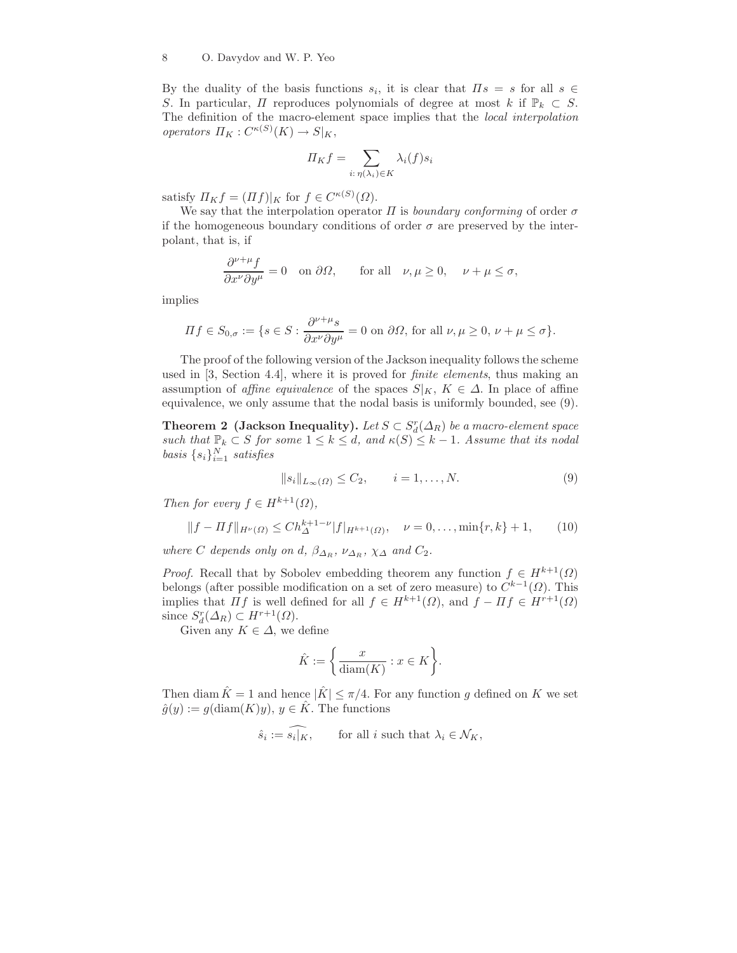By the duality of the basis functions  $s_i$ , it is clear that  $\Pi s = s$  for all  $s \in \mathbb{R}$ S. In particular,  $\Pi$  reproduces polynomials of degree at most k if  $\mathbb{P}_k \subset S$ . The definition of the macro-element space implies that the local interpolation operators  $\Pi_K: C^{\kappa(S)}(K) \to S|_K$ ,

$$
\Pi_K f = \sum_{i: \eta(\lambda_i) \in K} \lambda_i(f) s_i
$$

satisfy  $\Pi_K f = (\Pi f)|_K$  for  $f \in C^{\kappa(S)}(\Omega)$ .

We say that the interpolation operator  $\Pi$  is boundary conforming of order  $\sigma$ if the homogeneous boundary conditions of order  $\sigma$  are preserved by the interpolant, that is, if

$$
\frac{\partial^{\nu+\mu}f}{\partial x^{\nu}\partial y^{\mu}} = 0 \quad \text{on } \partial\Omega, \qquad \text{for all} \quad \nu, \mu \ge 0, \quad \nu+\mu \le \sigma,
$$

implies

$$
\Pi f \in S_{0,\sigma} := \{ s \in S : \frac{\partial^{\nu+\mu} s}{\partial x^{\nu} \partial y^{\mu}} = 0 \text{ on } \partial \Omega \text{, for all } \nu, \mu \ge 0, \nu + \mu \le \sigma \}.
$$

The proof of the following version of the Jackson inequality follows the scheme used in [3, Section 4.4], where it is proved for finite elements, thus making an assumption of affine equivalence of the spaces  $S|_K$ ,  $K \in \Delta$ . In place of affine equivalence, we only assume that the nodal basis is uniformly bounded, see (9).

**Theorem 2** (Jackson Inequality). Let  $S \subset S_d^r(\Delta_R)$  be a macro-element space such that  $\mathbb{P}_k \subset S$  for some  $1 \leq k \leq d$ , and  $\kappa(S) \leq k-1$ . Assume that its nodal basis  $\{s_i\}_{i=1}^N$  satisfies

$$
||s_i||_{L_{\infty}(\Omega)} \le C_2, \qquad i = 1, \dots, N. \tag{9}
$$

Then for every  $f \in H^{k+1}(\Omega)$ ,

$$
||f - Hf||_{H^{\nu}(\Omega)} \le Ch_{\Delta}^{k+1-\nu} |f|_{H^{k+1}(\Omega)}, \quad \nu = 0, \dots, \min\{r, k\} + 1,
$$
 (10)

where C depends only on d,  $\beta_{\Delta_R}$ ,  $\nu_{\Delta_R}$ ,  $\chi_{\Delta}$  and  $C_2$ .

*Proof.* Recall that by Sobolev embedding theorem any function  $f \in H^{k+1}(\Omega)$ belongs (after possible modification on a set of zero measure) to  $C^{k-1}(\Omega)$ . This implies that  $\Pi f$  is well defined for all  $f \in H^{k+1}(\Omega)$ , and  $f - \Pi f \in H^{r+1}(\Omega)$ since  $S_d^r(\Delta_R) \subset H^{r+1}(\Omega)$ .

Given any  $K \in \Delta$ , we define

$$
\hat{K} := \left\{ \frac{x}{\text{diam}(K)} : x \in K \right\}.
$$

Then diam  $\hat{K} = 1$  and hence  $|\hat{K}| \leq \pi/4$ . For any function g defined on K we set  $\hat{g}(y) := g(\text{diam}(K)y), y \in \hat{K}$ . The functions

$$
\hat{s}_i := \hat{s}_i | \overline{K}, \qquad \text{for all } i \text{ such that } \lambda_i \in \mathcal{N}_K,
$$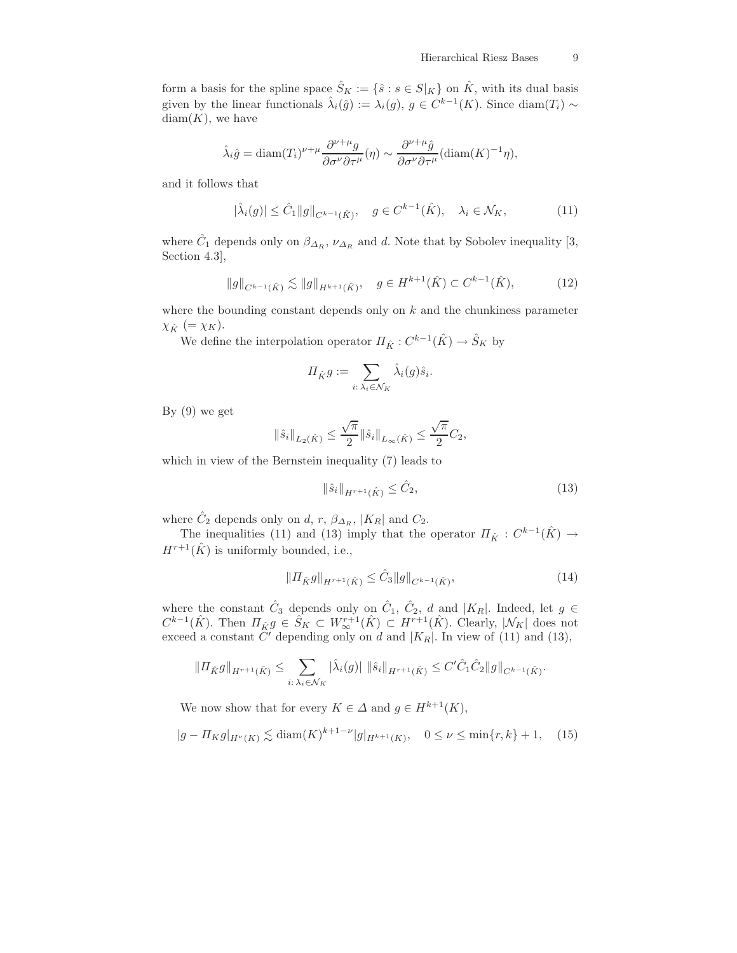form a basis for the spline space  $\hat{S}_K := \{\hat{s} : s \in S|_K\}$  on  $\hat{K}$ , with its dual basis given by the linear functionals  $\hat{\lambda}_i(\hat{g}) := \lambda_i(g)$ ,  $g \in C^{k-1}(K)$ . Since  $\text{diam}(T_i) \sim$  $diam(K)$ , we have

$$
\hat{\lambda}_{i}\hat{g} = \text{diam}(T_{i})^{\nu+\mu} \frac{\partial^{\nu+\mu}g}{\partial \sigma^{\nu}\partial \tau^{\mu}}(\eta) \sim \frac{\partial^{\nu+\mu}\hat{g}}{\partial \sigma^{\nu}\partial \tau^{\mu}}(\text{diam}(K)^{-1}\eta),
$$

and it follows that

$$
|\hat{\lambda}_i(g)| \leq \hat{C}_1 \|g\|_{C^{k-1}(\hat{K})}, \quad g \in C^{k-1}(\hat{K}), \quad \lambda_i \in \mathcal{N}_K,
$$
\n(11)

where  $\hat{C}_1$  depends only on  $\beta_{\Delta_R}$ ,  $\nu_{\Delta_R}$  and d. Note that by Sobolev inequality [3, Section 4.3],

$$
\|g\|_{C^{k-1}(\hat{K})} \lesssim \|g\|_{H^{k+1}(\hat{K})}, \quad g \in H^{k+1}(\hat{K}) \subset C^{k-1}(\hat{K}), \tag{12}
$$

where the bounding constant depends only on  $k$  and the chunkiness parameter  $\chi_{\hat{K}}$  (=  $\chi_{K}$ ).

We define the interpolation operator  $\Pi_{\hat{K}}: C^{k-1}(\hat{K}) \to \hat{S}_K$  by

$$
\Pi_{\hat{K}}g := \sum_{i:\,\lambda_i \in \mathcal{N}_K} \hat{\lambda}_i(g)\hat{s}_i.
$$

By (9) we get

$$
\|\hat{s}_i\|_{L_2(\hat{K})} \leq \frac{\sqrt{\pi}}{2} \|\hat{s}_i\|_{L_\infty(\hat{K})} \leq \frac{\sqrt{\pi}}{2} C_2,
$$

which in view of the Bernstein inequality (7) leads to

$$
\|\hat{s}_i\|_{H^{r+1}(\hat{K})} \le \hat{C}_2,\tag{13}
$$

where  $\hat{C}_2$  depends only on d, r,  $\beta_{\Delta_R}$ , | $K_R$ | and  $C_2$ .

The inequalities (11) and (13) imply that the operator  $\Pi_{\hat{K}}: C^{k-1}(\hat{K}) \to$  $H^{r+1}(\hat{K})$  is uniformly bounded, i.e.,

$$
||\Pi_{\hat{K}}g||_{H^{r+1}(\hat{K})} \leq \hat{C}_3 ||g||_{C^{k-1}(\hat{K})},
$$
\n(14)

where the constant  $\hat{C}_3$  depends only on  $\hat{C}_1$ ,  $\hat{C}_2$ , d and  $|K_R|$ . Indeed, let  $g \in$  $C^{k-1}(\hat{K})$ . Then  $\Pi_{\hat{K}}g \in \hat{S}_K \subset W^{r+1}_{\infty}(\hat{K}) \subset H^{r+1}(\hat{K})$ . Clearly,  $|\mathcal{N}_K|$  does not exceed a constant  $\tilde{C}'$  depending only on d and  $|K_R|$ . In view of (11) and (13),

$$
\| \Pi_{\hat{K}} g \|_{H^{r+1}(\hat{K})} \leq \sum_{i: \lambda_i \in \mathcal{N}_K} |\lambda_i(g)| \|\hat{s}_i\|_{H^{r+1}(\hat{K})} \leq C' \hat{C}_1 \hat{C}_2 \|g\|_{C^{k-1}(\hat{K})}.
$$

We now show that for every  $K \in \Delta$  and  $g \in H^{k+1}(K)$ ,

$$
|g - \Pi_K g|_{H^{\nu}(K)} \lesssim \text{diam}(K)^{k+1-\nu} |g|_{H^{k+1}(K)}, \quad 0 \le \nu \le \min\{r, k\} + 1, \quad (15)
$$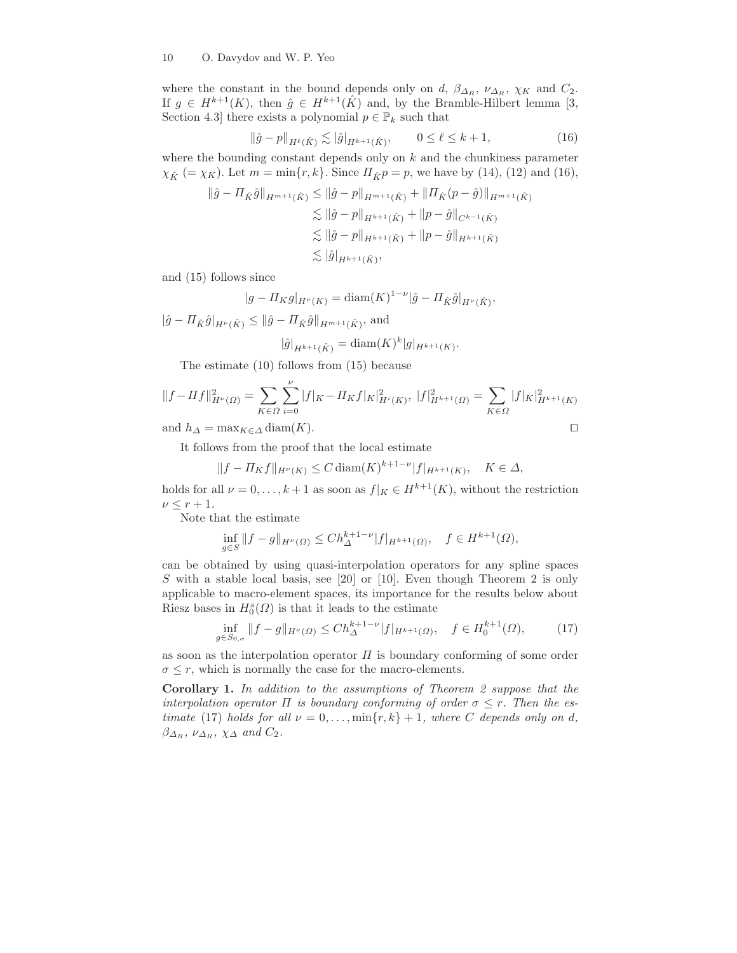where the constant in the bound depends only on d,  $\beta_{\Delta_R}$ ,  $\nu_{\Delta_R}$ ,  $\chi_K$  and  $C_2$ . If  $g \in H^{k+1}(K)$ , then  $\hat{g} \in H^{k+1}(\hat{K})$  and, by the Bramble-Hilbert lemma [3, Section 4.3] there exists a polynomial  $p \in \mathbb{P}_k$  such that

$$
\|\hat{g} - p\|_{H^{\ell}(\hat{K})} \lesssim |\hat{g}|_{H^{k+1}(\hat{K})}, \qquad 0 \le \ell \le k+1,
$$
\n(16)

where the bounding constant depends only on  $k$  and the chunkiness parameter  $\chi_{\hat{K}}$  (=  $\chi_{K}$ ). Let  $m = \min\{r, k\}$ . Since  $\Pi_{\hat{K}} p = p$ , we have by (14), (12) and (16),

$$
\|\hat{g} - \Pi_{\hat{K}}\hat{g}\|_{H^{m+1}(\hat{K})} \le \|\hat{g} - p\|_{H^{m+1}(\hat{K})} + \|\Pi_{\hat{K}}(p - \hat{g})\|_{H^{m+1}(\hat{K})}
$$
  
\n
$$
\lesssim \|\hat{g} - p\|_{H^{k+1}(\hat{K})} + \|p - \hat{g}\|_{C^{k-1}(\hat{K})}
$$
  
\n
$$
\lesssim \|\hat{g} - p\|_{H^{k+1}(\hat{K})} + \|p - \hat{g}\|_{H^{k+1}(\hat{K})}
$$
  
\n
$$
\lesssim |\hat{g}|_{H^{k+1}(\hat{K})},
$$

and (15) follows since

$$
|g - \Pi_K g|_{H^{\nu}(K)} = \text{diam}(K)^{1-\nu} |\hat{g} - \Pi_{\hat{K}} \hat{g}|_{H^{\nu}(\hat{K})},
$$

 $\|\hat{g} - \Pi_{\hat{K}}\hat{g}\|_{H^{\nu}(\hat{K})} \le \|\hat{g} - \Pi_{\hat{K}}\hat{g}\|_{H^{m+1}(\hat{K})},$  and

$$
|\hat{g}|_{H^{k+1}(\hat{K})} = \text{diam}(K)^k |g|_{H^{k+1}(K)}.
$$

The estimate (10) follows from (15) because

$$
||f - Hf||_{H^{\nu}(\Omega)}^2 = \sum_{K \in \Omega} \sum_{i=0}^{\nu} |f|_K - H_K f |K|_{H^i(K)}^2, \ |f|_{H^{k+1}(\Omega)}^2 = \sum_{K \in \Omega} |f|_K |_{H^{k+1}(K)}^2
$$

and  $h_{\Delta} = \max_{K \in \Delta} \text{diam}(K)$ . □

It follows from the proof that the local estimate

$$
||f - \Pi_K f||_{H^{\nu}(K)} \le C \operatorname{diam}(K)^{k+1-\nu} |f|_{H^{k+1}(K)}, \quad K \in \Delta,
$$

holds for all  $\nu = 0, \ldots, k+1$  as soon as  $f|_K \in H^{k+1}(K)$ , without the restriction  $\nu \leq r+1$ .

Note that the estimate

$$
\inf_{g \in S} ||f - g||_{H^{\nu}(\Omega)} \le C h_{\Delta}^{k+1-\nu} |f|_{H^{k+1}(\Omega)}, \quad f \in H^{k+1}(\Omega),
$$

can be obtained by using quasi-interpolation operators for any spline spaces S with a stable local basis, see [20] or [10]. Even though Theorem 2 is only applicable to macro-element spaces, its importance for the results below about Riesz bases in  $H_0^s(\Omega)$  is that it leads to the estimate

$$
\inf_{g \in S_{0,\sigma}} \|f - g\|_{H^{\nu}(\Omega)} \le C h_{\Delta}^{k+1-\nu} |f|_{H^{k+1}(\Omega)}, \quad f \in H_0^{k+1}(\Omega), \tag{17}
$$

as soon as the interpolation operator  $\Pi$  is boundary conforming of some order  $\sigma \leq r$ , which is normally the case for the macro-elements.

Corollary 1. In addition to the assumptions of Theorem 2 suppose that the interpolation operator  $\Pi$  is boundary conforming of order  $\sigma \leq r$ . Then the estimate (17) holds for all  $\nu = 0, \ldots, \min\{r, k\} + 1$ , where C depends only on d,  $\beta_{\Delta_R}$ ,  $\nu_{\Delta_R}$ ,  $\chi_{\Delta}$  and  $C_2$ .

$$
\Box
$$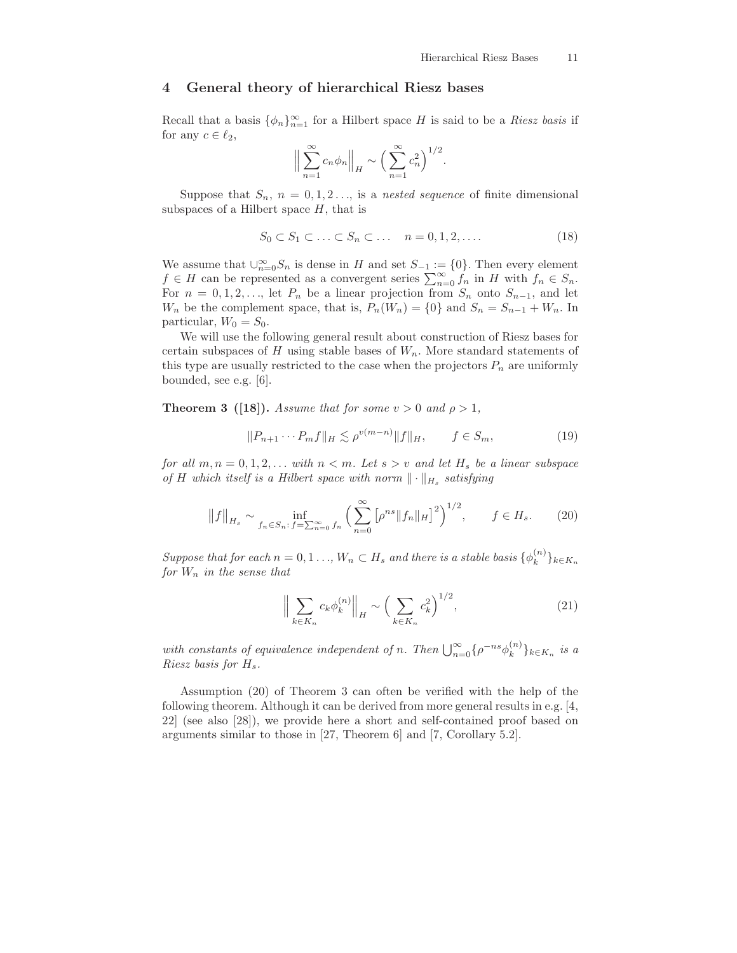## 4 General theory of hierarchical Riesz bases

Recall that a basis  $\{\phi_n\}_{n=1}^{\infty}$  for a Hilbert space H is said to be a *Riesz basis* if for any  $c \in \ell_2$ ,

$$
\Big\|\sum_{n=1}^{\infty}c_n\phi_n\Big\|_H\sim\Big(\sum_{n=1}^{\infty}c_n^2\Big)^{1/2}.
$$

Suppose that  $S_n$ ,  $n = 0, 1, 2, \ldots$ , is a nested sequence of finite dimensional subspaces of a Hilbert space  $H$ , that is

$$
S_0 \subset S_1 \subset \ldots \subset S_n \subset \ldots \quad n = 0, 1, 2, \ldots \tag{18}
$$

We assume that  $\bigcup_{n=0}^{\infty} S_n$  is dense in H and set  $S_{-1} := \{0\}$ . Then every element  $f \in H$  can be represented as a convergent series  $\sum_{n=0}^{\infty} f_n$  in H with  $f_n \in S_n$ . For  $n = 0, 1, 2, \ldots$ , let  $P_n$  be a linear projection from  $S_n$  onto  $S_{n-1}$ , and let  $W_n$  be the complement space, that is,  $P_n(W_n) = \{0\}$  and  $S_n = S_{n-1} + W_n$ . In particular,  $W_0 = S_0$ .

We will use the following general result about construction of Riesz bases for certain subspaces of  $H$  using stable bases of  $W_n$ . More standard statements of this type are usually restricted to the case when the projectors  $P_n$  are uniformly bounded, see e.g. [6].

**Theorem 3** ([18]). Assume that for some  $v > 0$  and  $\rho > 1$ ,

$$
||P_{n+1} \cdots P_m f||_H \lesssim \rho^{v(m-n)} ||f||_H, \qquad f \in S_m,
$$
\n(19)

for all  $m, n = 0, 1, 2, \ldots$  with  $n < m$ . Let  $s > v$  and let  $H_s$  be a linear subspace of H which itself is a Hilbert space with norm  $\|\cdot\|_{H_s}$  satisfying

$$
||f||_{H_s} \sim \inf_{f_n \in S_n: \, f = \sum_{n=0}^{\infty} f_n} \left( \sum_{n=0}^{\infty} \left[ \rho^{ns} ||f_n||_H \right]^2 \right)^{1/2}, \qquad f \in H_s. \tag{20}
$$

Suppose that for each  $n = 0, 1, ..., W_n \subset H_s$  and there is a stable basis  $\{\phi_k^{(n)}\}$  $\hat{k}$   $\hat{j}$   $k \in K_n$ for  $W_n$  in the sense that

$$
\left\| \sum_{k \in K_n} c_k \phi_k^{(n)} \right\|_H \sim \left( \sum_{k \in K_n} c_k^2 \right)^{1/2},\tag{21}
$$

with constants of equivalence independent of n. Then  $\bigcup_{n=0}^{\infty} \{\rho^{-ns}\phi_k^{(n)}\}$  $\binom{n}{k}$ <sub>k∈K<sub>n</sub> is a</sub> Riesz basis for  $H_s$ .

Assumption (20) of Theorem 3 can often be verified with the help of the following theorem. Although it can be derived from more general results in e.g. [4, 22] (see also [28]), we provide here a short and self-contained proof based on arguments similar to those in [27, Theorem 6] and [7, Corollary 5.2].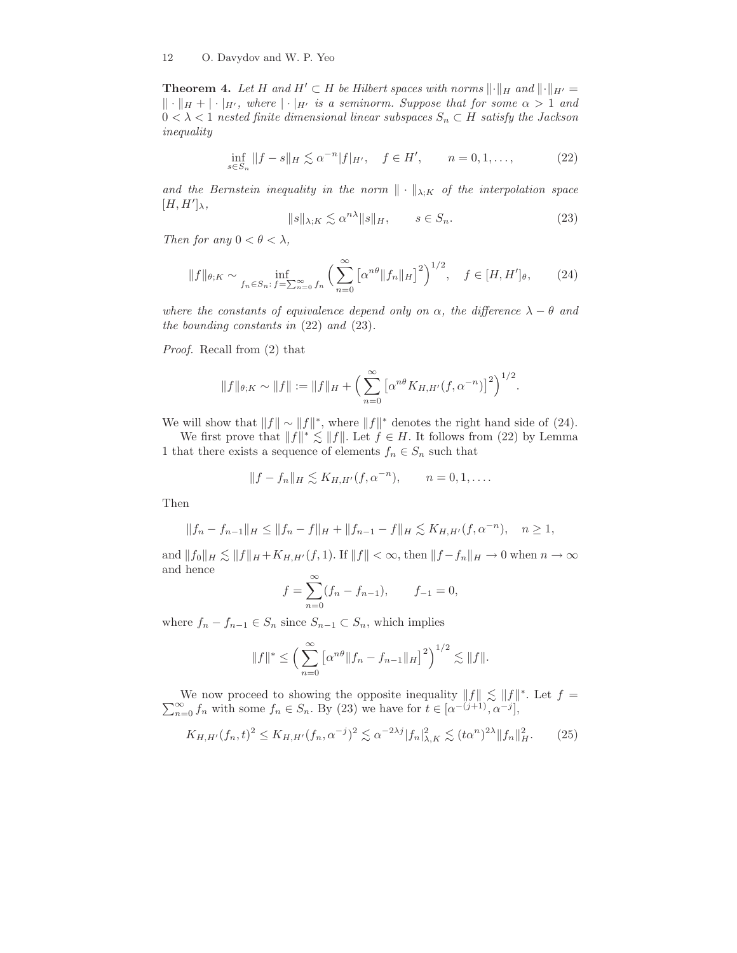#### 12 O. Davydov and W. P. Yeo

**Theorem 4.** Let H and  $H' \subset H$  be Hilbert spaces with norms  $\lVert \cdot \rVert_H$  and  $\lVert \cdot \rVert_{H'} =$  $\Vert \cdot \Vert_H + \Vert \cdot \Vert_{H'}$ , where  $\Vert \cdot \Vert_{H'}$  is a seminorm. Suppose that for some  $\alpha > 1$  and  $0 < \lambda < 1$  nested finite dimensional linear subspaces  $S_n \subset H$  satisfy the Jackson inequality

$$
\inf_{s \in S_n} \|f - s\|_H \lesssim \alpha^{-n} |f|_{H'}, \quad f \in H', \qquad n = 0, 1, \dots,
$$
 (22)

and the Bernstein inequality in the norm  $\|\cdot\|_{\lambda;K}$  of the interpolation space  $[H, H']_{\lambda},$ 

$$
||s||_{\lambda;K} \lesssim \alpha^{n\lambda} ||s||_H, \qquad s \in S_n. \tag{23}
$$

Then for any  $0 < \theta < \lambda$ ,

$$
||f||_{\theta;K} \sim \inf_{f_n \in S_n: \, f = \sum_{n=0}^{\infty} f_n} \left( \sum_{n=0}^{\infty} \left[ \alpha^{n\theta} ||f_n||_H \right]^2 \right)^{1/2}, \quad f \in [H, H']_\theta, \tag{24}
$$

where the constants of equivalence depend only on  $\alpha$ , the difference  $\lambda - \theta$  and the bounding constants in (22) and (23).

Proof. Recall from (2) that

$$
||f||_{\theta;K} \sim ||f|| := ||f||_H + \left(\sum_{n=0}^{\infty} \left[\alpha^{n\theta} K_{H,H'}(f,\alpha^{-n})\right]^2\right)^{1/2}.
$$

We will show that  $||f|| \sim ||f||^*$ , where  $||f||^*$  denotes the right hand side of (24).

We first prove that  $||f||^* \lesssim ||f||$ . Let  $f \in H$ . It follows from (22) by Lemma 1 that there exists a sequence of elements  $f_n \in S_n$  such that

$$
||f - f_n||_H \lesssim K_{H,H'}(f, \alpha^{-n}), \qquad n = 0, 1, \dots
$$

Then

$$
||f_n - f_{n-1}||_H \le ||f_n - f||_H + ||f_{n-1} - f||_H \lesssim K_{H,H'}(f, \alpha^{-n}), \quad n \ge 1,
$$

and  $||f_0||_H \lesssim ||f||_H + K_{H,H'} (f, 1)$ . If  $||f|| < \infty$ , then  $||f - f_n||_H \to 0$  when  $n \to \infty$ and hence  $\infty$ 

$$
f = \sum_{n=0}^{\infty} (f_n - f_{n-1}), \qquad f_{-1} = 0,
$$

where  $f_n - f_{n-1} \in S_n$  since  $S_{n-1} \subset S_n$ , which implies

$$
||f||^* \le \left(\sum_{n=0}^{\infty} \left[\alpha^{n\theta} ||f_n - f_{n-1}||_H\right]^2\right)^{1/2} \lesssim ||f||.
$$

We now proceed to showing the opposite inequality  $||f|| \lesssim ||f||^*$ . Let  $f =$  $\sum_{n=0}^{\infty} f_n$  with some  $f_n \in S_n$ . By (23) we have for  $t \in [\alpha^{-(j+1)}, \alpha^{-j}],$ 

$$
K_{H,H'}(f_n,t)^2 \le K_{H,H'}(f_n,\alpha^{-j})^2 \lesssim \alpha^{-2\lambda j} |f_n|^2_{\lambda,K} \lesssim (t\alpha^n)^{2\lambda} \|f_n\|^2_{H}.
$$
 (25)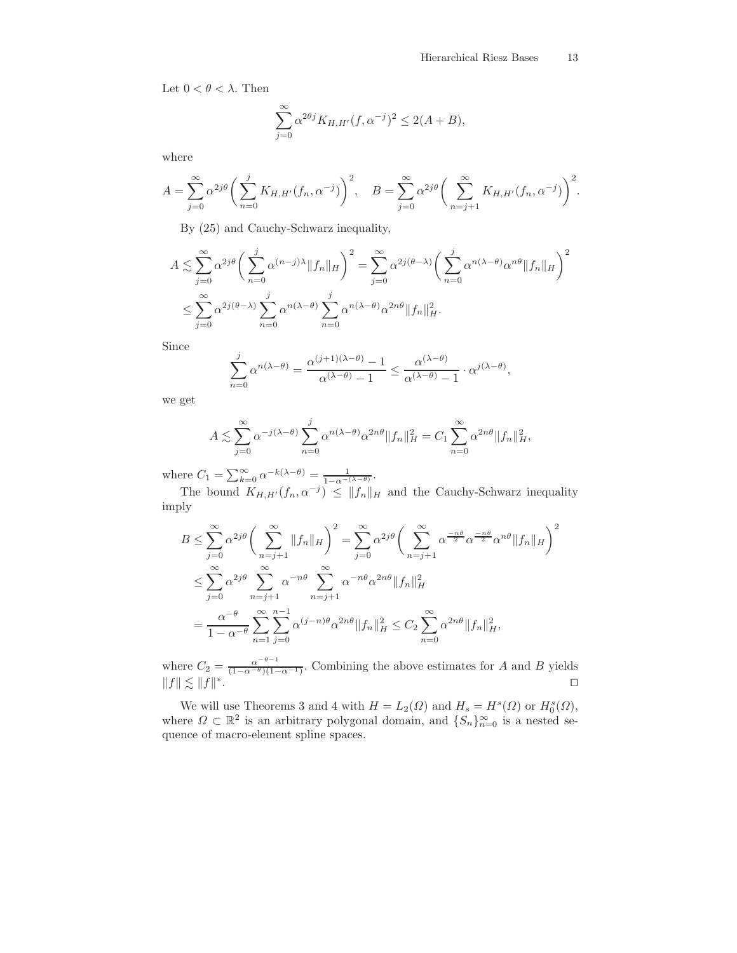Let  $0 < \theta < \lambda$ . Then

$$
\sum_{j=0}^{\infty} \alpha^{2\theta j} K_{H,H'}(f, \alpha^{-j})^2 \le 2(A+B),
$$

where

$$
A = \sum_{j=0}^{\infty} \alpha^{2j\theta} \bigg( \sum_{n=0}^{j} K_{H,H'}(f_n, \alpha^{-j}) \bigg)^2, \quad B = \sum_{j=0}^{\infty} \alpha^{2j\theta} \bigg( \sum_{n=j+1}^{\infty} K_{H,H'}(f_n, \alpha^{-j}) \bigg)^2.
$$

By (25) and Cauchy-Schwarz inequality,

$$
A \lesssim \sum_{j=0}^{\infty} \alpha^{2j\theta} \left( \sum_{n=0}^{j} \alpha^{(n-j)\lambda} \|f_n\|_{H} \right)^2 = \sum_{j=0}^{\infty} \alpha^{2j(\theta-\lambda)} \left( \sum_{n=0}^{j} \alpha^{n(\lambda-\theta)} \alpha^{n\theta} \|f_n\|_{H} \right)^2
$$
  

$$
\leq \sum_{j=0}^{\infty} \alpha^{2j(\theta-\lambda)} \sum_{n=0}^{j} \alpha^{n(\lambda-\theta)} \sum_{n=0}^{j} \alpha^{n(\lambda-\theta)} \alpha^{2n\theta} \|f_n\|_{H}^2.
$$

Since

$$
\sum_{n=0}^{j} \alpha^{n(\lambda-\theta)} = \frac{\alpha^{(j+1)(\lambda-\theta)} - 1}{\alpha^{(\lambda-\theta)} - 1} \le \frac{\alpha^{(\lambda-\theta)}}{\alpha^{(\lambda-\theta)} - 1} \cdot \alpha^{j(\lambda-\theta)},
$$

we get

$$
A \lesssim \sum_{j=0}^{\infty} \alpha^{-j(\lambda-\theta)} \sum_{n=0}^{j} \alpha^{n(\lambda-\theta)} \alpha^{2n\theta} \|f_n\|_{H}^{2} = C_1 \sum_{n=0}^{\infty} \alpha^{2n\theta} \|f_n\|_{H}^{2},
$$

where  $C_1 = \sum_{k=0}^{\infty} \alpha^{-k(\lambda - \theta)} = \frac{1}{1 - \alpha^{-(\lambda - \theta)}}$ .

The bound  $K_{H,H'}(f_n, \alpha^{-j}) \leq ||f_n||_H$  and the Cauchy-Schwarz inequality imply

$$
B \leq \sum_{j=0}^{\infty} \alpha^{2j\theta} \left( \sum_{n=j+1}^{\infty} ||f_n||_H \right)^2 = \sum_{j=0}^{\infty} \alpha^{2j\theta} \left( \sum_{n=j+1}^{\infty} \alpha^{\frac{-n\theta}{2}} \alpha^{\frac{-n\theta}{2}} \alpha^{n\theta} ||f_n||_H \right)^2
$$
  

$$
\leq \sum_{j=0}^{\infty} \alpha^{2j\theta} \sum_{n=j+1}^{\infty} \alpha^{-n\theta} \sum_{n=j+1}^{\infty} \alpha^{-n\theta} \alpha^{2n\theta} ||f_n||_H^2
$$
  

$$
= \frac{\alpha^{-\theta}}{1 - \alpha^{-\theta}} \sum_{n=1}^{\infty} \sum_{j=0}^{n-1} \alpha^{(j-n)\theta} \alpha^{2n\theta} ||f_n||_H^2 \leq C_2 \sum_{n=0}^{\infty} \alpha^{2n\theta} ||f_n||_H^2,
$$

where  $C_2 = \frac{\alpha^{-\theta-1}}{(1-\alpha^{-\theta})(1-\alpha^{-\theta})}$  $\frac{\alpha}{(1-\alpha^{-\theta})(1-\alpha^{-1})}$ . Combining the above estimates for A and B yields  $||f|| \lesssim ||f||^*$ .

We will use Theorems 3 and 4 with  $H = L_2(\Omega)$  and  $H_s = H^s(\Omega)$  or  $H_0^s(\Omega)$ , where  $\Omega \subset \mathbb{R}^2$  is an arbitrary polygonal domain, and  $\{S_n\}_{n=0}^{\infty}$  is a nested sequence of macro-element spline spaces.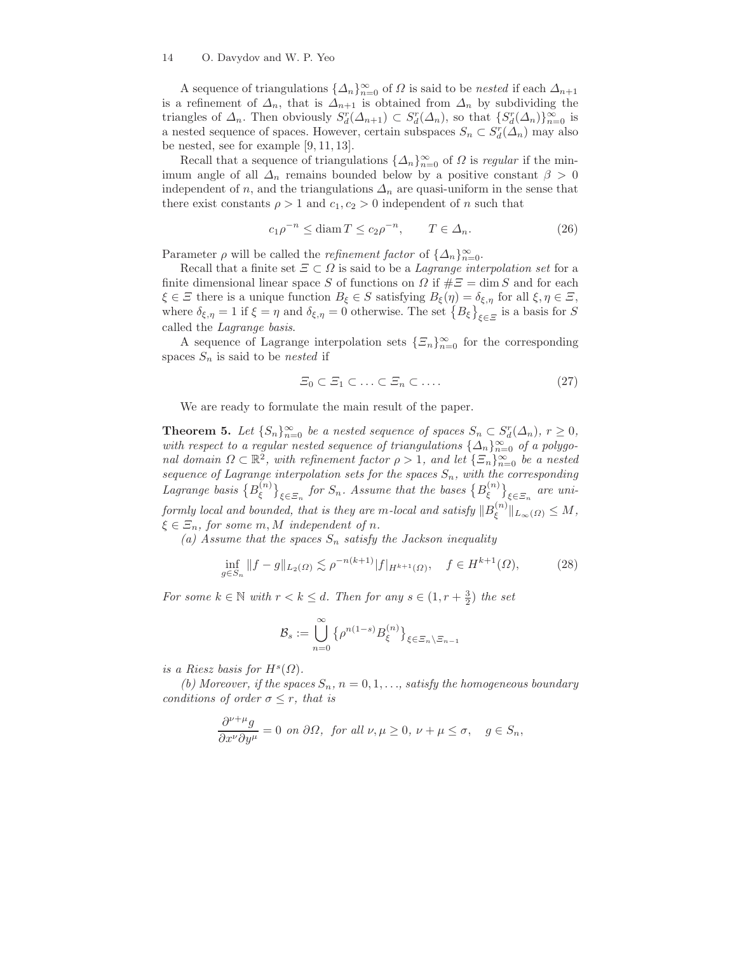## 14 O. Davydov and W. P. Yeo

A sequence of triangulations  $\{\Delta_n\}_{n=0}^{\infty}$  of  $\Omega$  is said to be nested if each  $\Delta_{n+1}$ is a refinement of  $\Delta_n$ , that is  $\Delta_{n+1}$  is obtained from  $\Delta_n$  by subdividing the triangles of  $\Delta_n$ . Then obviously  $S_d^r(\Delta_{n+1}) \subset S_d^r(\Delta_n)$ , so that  $\{S_d^r(\Delta_n)\}_{n=0}^{\infty}$  is a nested sequence of spaces. However, certain subspaces  $S_n \subset S_d^r(\Delta_n)$  may also be nested, see for example [9, 11, 13].

Recall that a sequence of triangulations  $\{\Delta_n\}_{n=0}^{\infty}$  of  $\Omega$  is regular if the minimum angle of all  $\Delta_n$  remains bounded below by a positive constant  $\beta > 0$ independent of n, and the triangulations  $\Delta_n$  are quasi-uniform in the sense that there exist constants  $\rho > 1$  and  $c_1, c_2 > 0$  independent of n such that

$$
c_1 \rho^{-n} \le \operatorname{diam} T \le c_2 \rho^{-n}, \qquad T \in \Delta_n. \tag{26}
$$

Parameter  $\rho$  will be called the *refinement factor* of  $\{\Delta_n\}_{n=0}^{\infty}$ .

Recall that a finite set  $\Xi \subset \Omega$  is said to be a *Lagrange interpolation set* for a finite dimensional linear space S of functions on  $\Omega$  if  $\# \Xi = \dim S$  and for each  $\xi \in \Xi$  there is a unique function  $B_{\xi} \in S$  satisfying  $B_{\xi}(\eta) = \delta_{\xi, \eta}$  for all  $\xi, \eta \in \Xi$ , where  $\delta_{\xi,\eta}=1$  if  $\xi=\eta$  and  $\delta_{\xi,\eta}=0$  otherwise. The set  $\{B_{\xi}\}_{\xi\in\Xi}$  is a basis for S called the Lagrange basis.

A sequence of Lagrange interpolation sets  $\{\varXi_n\}_{n=0}^\infty$  for the corresponding spaces  $S_n$  is said to be nested if

$$
\Xi_0 \subset \Xi_1 \subset \ldots \subset \Xi_n \subset \ldots. \tag{27}
$$

We are ready to formulate the main result of the paper.

**Theorem 5.** Let  $\{S_n\}_{n=0}^{\infty}$  be a nested sequence of spaces  $S_n \subset S_d^r(\Delta_n)$ ,  $r \geq 0$ , with respect to a regular nested sequence of triangulations  $\{\Delta_n\}_{n=0}^{\infty}$  of a polygonal domain  $\Omega \subset \mathbb{R}^2$ , with refinement factor  $\rho > 1$ , and let  $\{\Xi_n\}_{n=0}^{\infty}$  be a nested sequence of Lagrange interpolation sets for the spaces  $S_n$ , with the corresponding Lagrange basis  $\{B_{\epsilon}^{(n)}\}$  $\left\{\xi^{(n)}\right\}_{\xi \in \Xi_n}$  for  $S_n$ . Assume that the bases  $\{B_{\xi}^{(n)}\}$  $\left\{\zeta^{(n)}\right\}_{\xi \in \Xi_n}$  are uniformly local and bounded, that is they are m-local and satisfy  $\|B^{(n)}_\xi\|$  $\int_{\xi}^{(n)} \| L_{\infty}(\Omega) \leq M,$  $\xi \in \Xi_n$ , for some m, M independent of n.

(a) Assume that the spaces  $S_n$  satisfy the Jackson inequality

$$
\inf_{g \in S_n} \|f - g\|_{L_2(\Omega)} \lesssim \rho^{-n(k+1)} |f|_{H^{k+1}(\Omega)}, \quad f \in H^{k+1}(\Omega), \tag{28}
$$

For some  $k \in \mathbb{N}$  with  $r < k \leq d$ . Then for any  $s \in (1, r + \frac{3}{2})$  the set

$$
\mathcal{B}_s := \bigcup_{n=0}^{\infty} \left\{ \rho^{n(1-s)} B_{\xi}^{(n)} \right\}_{\xi \in \Xi_n \setminus \Xi_{n-1}}
$$

is a Riesz basis for  $H^s(\Omega)$ .

(b) Moreover, if the spaces  $S_n$ ,  $n = 0, 1, \ldots$ , satisfy the homogeneous boundary conditions of order  $\sigma \leq r$ , that is

$$
\frac{\partial^{\nu+\mu}g}{\partial x^{\nu}\partial y^{\mu}} = 0 \text{ on } \partial\Omega, \text{ for all } \nu, \mu \ge 0, \nu + \mu \le \sigma, \quad g \in S_n,
$$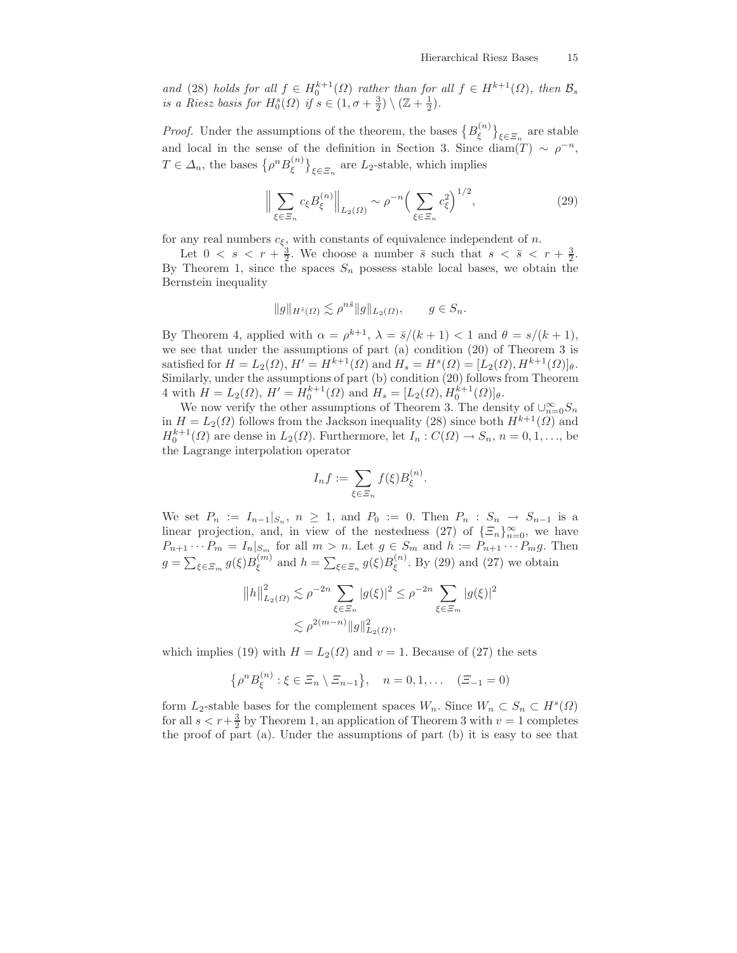and (28) holds for all  $f \in H_0^{k+1}(\Omega)$  rather than for all  $f \in H^{k+1}(\Omega)$ , then  $\mathcal{B}_s$ is a Riesz basis for  $H_0^s(\Omega)$  if  $s \in (1, \sigma + \frac{3}{2}) \setminus (\mathbb{Z} + \frac{1}{2})$ .

*Proof.* Under the assumptions of the theorem, the bases  ${B_{\epsilon}^{(n)}}$  $\left\{\zeta^{(n)}\right\}_{\xi \in \Xi_n}$  are stable and local in the sense of the definition in Section 3. Since diam(T) ~  $\rho^{-n}$ ,  $T \in \Delta_n$ , the bases  $\left\{ \rho^n B_{\xi}^{(n)} \right\}$  $\binom{n}{\xi}$ <sub> $\xi \in \Xi_n$ </sub> are  $L_2$ -stable, which implies

$$
\Big\| \sum_{\xi \in \Xi_n} c_{\xi} B_{\xi}^{(n)} \Big\|_{L_2(\Omega)} \sim \rho^{-n} \Big(\sum_{\xi \in \Xi_n} c_{\xi}^2\Big)^{1/2},\tag{29}
$$

for any real numbers  $c_{\xi}$ , with constants of equivalence independent of n.

Let  $0 \lt s \lt r + \frac{3}{2}$ . We choose a number  $\bar{s}$  such that  $s \lt \bar{s} \lt r + \frac{3}{2}$ . By Theorem 1, since the spaces  $S_n$  possess stable local bases, we obtain the Bernstein inequality

$$
||g||_{H^{\bar{s}}(\Omega)} \lesssim \rho^{n\bar{s}} ||g||_{L_2(\Omega)}, \qquad g \in S_n.
$$

By Theorem 4, applied with  $\alpha = \rho^{k+1}$ ,  $\lambda = \bar{s}/(k+1) < 1$  and  $\theta = s/(k+1)$ , we see that under the assumptions of part (a) condition (20) of Theorem 3 is satisfied for  $H = L_2(\Omega)$ ,  $H' = H^{k+1}(\Omega)$  and  $H_s = H^s(\Omega) = [L_2(\Omega), H^{k+1}(\Omega)]_\theta$ . Similarly, under the assumptions of part (b) condition (20) follows from Theorem 4 with  $H = L_2(\Omega)$ ,  $H' = H_0^{k+1}(\Omega)$  and  $H_s = [L_2(\Omega), H_0^{k+1}(\Omega)]_\theta$ .

We now verify the other assumptions of Theorem 3. The density of  $\cup_{n=0}^{\infty} S_n$ in  $H = L_2(\Omega)$  follows from the Jackson inequality (28) since both  $H^{k+1}(\Omega)$  and  $H_0^{k+1}(\Omega)$  are dense in  $L_2(\Omega)$ . Furthermore, let  $I_n: C(\Omega) \to S_n$ ,  $n = 0, 1, \ldots$ , be the Lagrange interpolation operator

$$
I_n f := \sum_{\xi \in \Xi_n} f(\xi) B_{\xi}^{(n)}.
$$

We set  $P_n := I_{n-1}|_{S_n}$ ,  $n \geq 1$ , and  $P_0 := 0$ . Then  $P_n : S_n \to S_{n-1}$  is a linear projection, and, in view of the nestedness (27) of  $\{\Xi_n\}_{n=0}^{\infty}$ , we have  $P_{n+1}\cdots P_m=I_n|_{S_m}$  for all  $m>n$ . Let  $g\in S_m$  and  $h:=P_{n+1}\cdots P_m g$ . Then  $g = \sum_{\xi \in \Xi_m} g(\xi) B_{\xi}^{(m)}$  $\zeta_{\xi}^{(m)}$  and  $h = \sum_{\xi \in \Xi_n} g(\xi) B_{\xi}^{(n)}$  $\zeta^{(n)}$ . By (29) and (27) we obtain

$$
||h||_{L_2(\Omega)}^2 \lesssim \rho^{-2n} \sum_{\xi \in \Xi_n} |g(\xi)|^2 \le \rho^{-2n} \sum_{\xi \in \Xi_m} |g(\xi)|^2
$$
  

$$
\lesssim \rho^{2(m-n)} ||g||_{L_2(\Omega)}^2,
$$

which implies (19) with  $H = L_2(\Omega)$  and  $v = 1$ . Because of (27) the sets

$$
\{ \rho^n B_{\xi}^{(n)} : \xi \in \Xi_n \setminus \Xi_{n-1} \}, \quad n = 0, 1, \dots \quad (\Xi_{-1} = 0)
$$

form  $L_2$ -stable bases for the complement spaces  $W_n$ . Since  $W_n \subset S_n \subset H^s(\Omega)$ for all  $s < r + \frac{3}{2}$  by Theorem 1, an application of Theorem 3 with  $v = 1$  completes the proof of part (a). Under the assumptions of part (b) it is easy to see that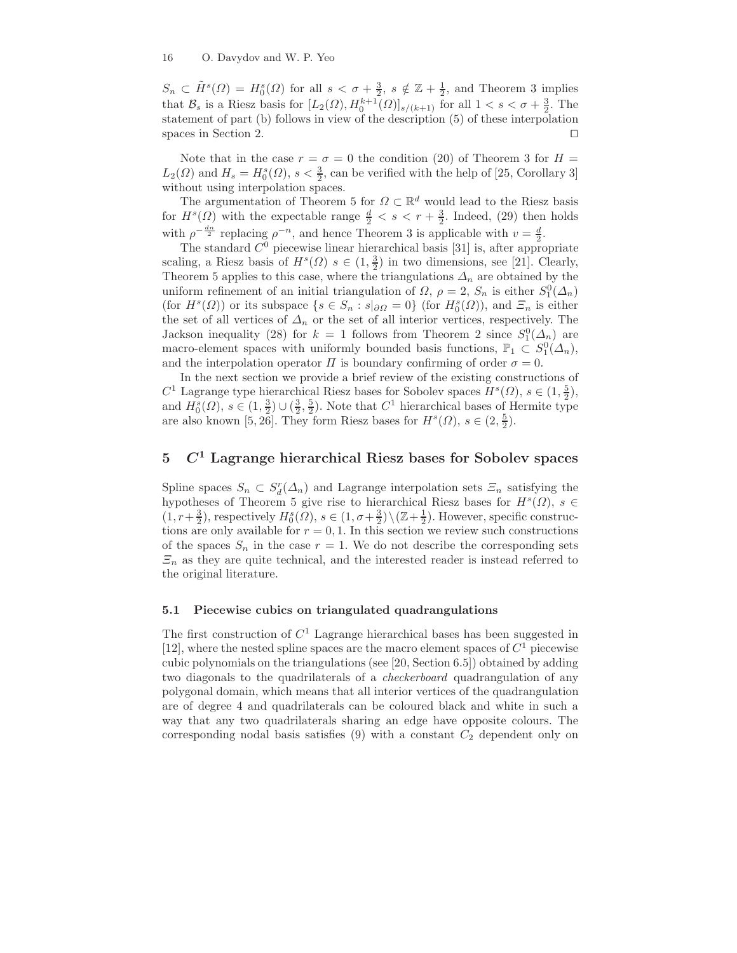$S_n \subset \tilde{H}^s(\Omega) = H_0^s(\Omega)$  for all  $s < \sigma + \frac{3}{2}$ ,  $s \notin \mathbb{Z} + \frac{1}{2}$ , and Theorem 3 implies that  $\mathcal{B}_s$  is a Riesz basis for  $[L_2(\Omega), H_0^{k+1}(\Omega)]_{s/(k+1)}$  for all  $1 < s < \sigma + \frac{3}{2}$ . The statement of part (b) follows in view of the description (5) of these interpolation spaces in Section 2. □

Note that in the case  $r = \sigma = 0$  the condition (20) of Theorem 3 for  $H =$  $L_2(\Omega)$  and  $H_s = H_0^s(\Omega)$ ,  $s < \frac{3}{2}$ , can be verified with the help of [25, Corollary 3] without using interpolation spaces.

The argumentation of Theorem 5 for  $\Omega \subset \mathbb{R}^d$  would lead to the Riesz basis for  $H^s(\Omega)$  with the expectable range  $\frac{d}{2} < s < r + \frac{3}{2}$ . Indeed, (29) then holds with  $\rho^{-\frac{dn}{2}}$  replacing  $\rho^{-n}$ , and hence Theorem 3 is applicable with  $v = \frac{d}{2}$ .

The standard  $C^0$  piecewise linear hierarchical basis [31] is, after appropriate scaling, a Riesz basis of  $H^s(\Omega)$   $s \in (1, \frac{3}{2})$  in two dimensions, see [21]. Clearly, Theorem 5 applies to this case, where the triangulations  $\Delta_n$  are obtained by the uniform refinement of an initial triangulation of  $\Omega$ ,  $\rho = 2$ ,  $S_n$  is either  $S_1^0(\Lambda_n)$ (for  $H^s(\Omega)$ ) or its subspace  $\{s \in S_n : s|_{\partial\Omega} = 0\}$  (for  $H_0^s(\Omega)$ ), and  $\Xi_n$  is either the set of all vertices of  $\Delta_n$  or the set of all interior vertices, respectively. The Jackson inequality (28) for  $k = 1$  follows from Theorem 2 since  $S_1^0(\Delta_n)$  are macro-element spaces with uniformly bounded basis functions,  $\mathbb{P}_1 \subset S_1^0(\Delta_n)$ , and the interpolation operator  $\Pi$  is boundary confirming of order  $\sigma = 0$ .

In the next section we provide a brief review of the existing constructions of  $C^1$  Lagrange type hierarchical Riesz bases for Sobolev spaces  $H^s(\Omega)$ ,  $s \in (1, \frac{5}{2})$ , and  $H_0^s(\Omega)$ ,  $s \in (1, \frac{3}{2}) \cup (\frac{3}{2}, \frac{5}{2})$ . Note that  $C^1$  hierarchical bases of Hermite type are also known [5, 26]. They form Riesz bases for  $H^s(\Omega)$ ,  $s \in (2, \frac{5}{2})$ .

# $5$   $C<sup>1</sup>$  Lagrange hierarchical Riesz bases for Sobolev spaces

Spline spaces  $S_n \subset S_d^r(\Delta_n)$  and Lagrange interpolation sets  $\Xi_n$  satisfying the hypotheses of Theorem 5 give rise to hierarchical Riesz bases for  $H^s(\Omega)$ ,  $s \in$  $(1, r+\frac{3}{2})$ , respectively  $H_0^s(\Omega)$ ,  $s \in (1, \sigma+\frac{3}{2}) \setminus (\mathbb{Z}+\frac{1}{2})$ . However, specific constructions are only available for  $r = 0, 1$ . In this section we review such constructions of the spaces  $S_n$  in the case  $r = 1$ . We do not describe the corresponding sets  $\Xi_n$  as they are quite technical, and the interested reader is instead referred to the original literature.

## 5.1 Piecewise cubics on triangulated quadrangulations

The first construction of  $C<sup>1</sup>$  Lagrange hierarchical bases has been suggested in [12], where the nested spline spaces are the macro element spaces of  $C<sup>1</sup>$  piecewise cubic polynomials on the triangulations (see [20, Section 6.5]) obtained by adding two diagonals to the quadrilaterals of a checkerboard quadrangulation of any polygonal domain, which means that all interior vertices of the quadrangulation are of degree 4 and quadrilaterals can be coloured black and white in such a way that any two quadrilaterals sharing an edge have opposite colours. The corresponding nodal basis satisfies  $(9)$  with a constant  $C_2$  dependent only on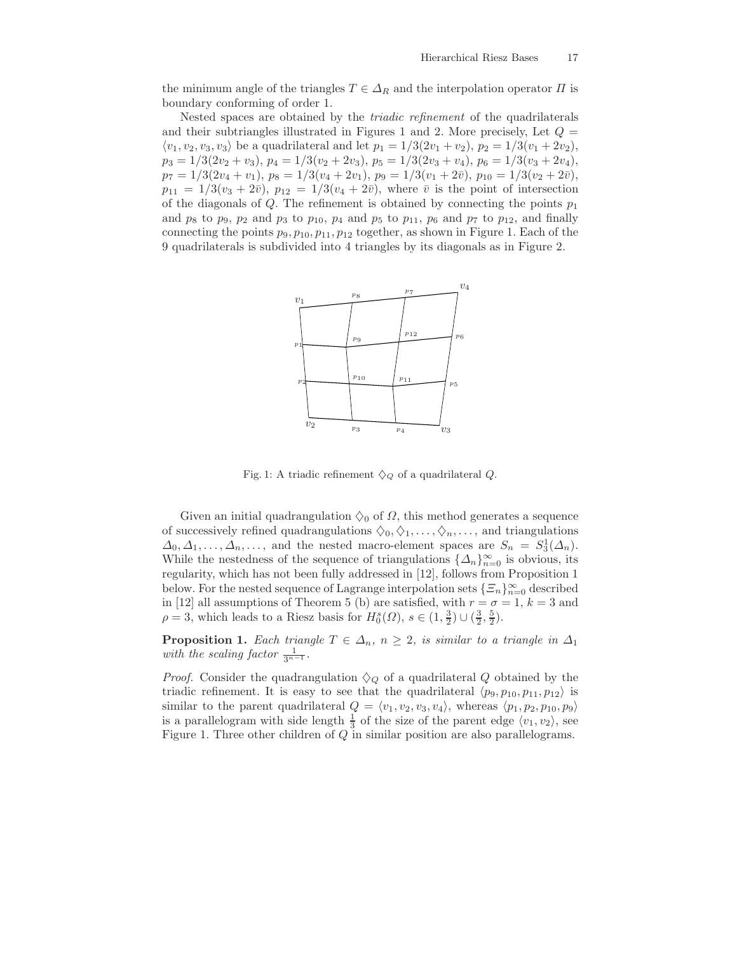the minimum angle of the triangles  $T \in \Delta_R$  and the interpolation operator  $\Pi$  is boundary conforming of order 1.

Nested spaces are obtained by the triadic refinement of the quadrilaterals and their subtriangles illustrated in Figures 1 and 2. More precisely, Let  $Q =$  $\langle v_1, v_2, v_3, v_3 \rangle$  be a quadrilateral and let  $p_1 = 1/3(2v_1 + v_2), p_2 = 1/3(v_1 + 2v_2),$  $p_3 = 1/3(2v_2 + v_3), p_4 = 1/3(v_2 + 2v_3), p_5 = 1/3(2v_3 + v_4), p_6 = 1/3(v_3 + 2v_4),$  $p_7 = 1/3(2v_4 + v_1), p_8 = 1/3(v_4 + 2v_1), p_9 = 1/3(v_1 + 2\bar{v}), p_{10} = 1/3(v_2 + 2\bar{v}),$  $p_{11} = 1/3(v_3 + 2\bar{v}), p_{12} = 1/3(v_4 + 2\bar{v}),$  where  $\bar{v}$  is the point of intersection of the diagonals of  $Q$ . The refinement is obtained by connecting the points  $p_1$ and  $p_8$  to  $p_9$ ,  $p_2$  and  $p_3$  to  $p_{10}$ ,  $p_4$  and  $p_5$  to  $p_{11}$ ,  $p_6$  and  $p_7$  to  $p_{12}$ , and finally connecting the points  $p_9, p_{10}, p_{11}, p_{12}$  together, as shown in Figure 1. Each of the 9 quadrilaterals is subdivided into 4 triangles by its diagonals as in Figure 2.



Fig. 1: A triadic refinement  $\Diamond_Q$  of a quadrilateral Q.

Given an initial quadrangulation  $\Diamond_0$  of  $\Omega$ , this method generates a sequence of successively refined quadrangulations  $\Diamond_0, \Diamond_1, \ldots, \Diamond_n, \ldots$ , and triangulations  $\Delta_0, \Delta_1, \ldots, \Delta_n, \ldots$ , and the nested macro-element spaces are  $S_n = S_3^1(\Delta_n)$ . While the nestedness of the sequence of triangulations  ${\{\Delta_n\}}_{n=0}^{\infty}$  is obvious, its regularity, which has not been fully addressed in [12], follows from Proposition 1 below. For the nested sequence of Lagrange interpolation sets  $\{\Xi_n\}_{n=0}^{\infty}$  described in [12] all assumptions of Theorem 5 (b) are satisfied, with  $r = \sigma = 1, k = 3$  and  $\rho = 3$ , which leads to a Riesz basis for  $H_0^s(\Omega)$ ,  $s \in (1, \frac{3}{2}) \cup (\frac{3}{2}, \frac{5}{2})$ .

**Proposition 1.** Each triangle  $T \in \Delta_n$ ,  $n \geq 2$ , is similar to a triangle in  $\Delta_1$ with the scaling factor  $\frac{1}{3^{n-1}}$ .

*Proof.* Consider the quadrangulation  $\Diamond_Q$  of a quadrilateral Q obtained by the triadic refinement. It is easy to see that the quadrilateral  $\langle p_9, p_{10}, p_{11}, p_{12} \rangle$  is similar to the parent quadrilateral  $Q = \langle v_1, v_2, v_3, v_4 \rangle$ , whereas  $\langle p_1, p_2, p_{10}, p_9 \rangle$ is a parallelogram with side length  $\frac{1}{3}$  of the size of the parent edge  $\langle v_1, v_2 \rangle$ , see Figure 1. Three other children of Q in similar position are also parallelograms.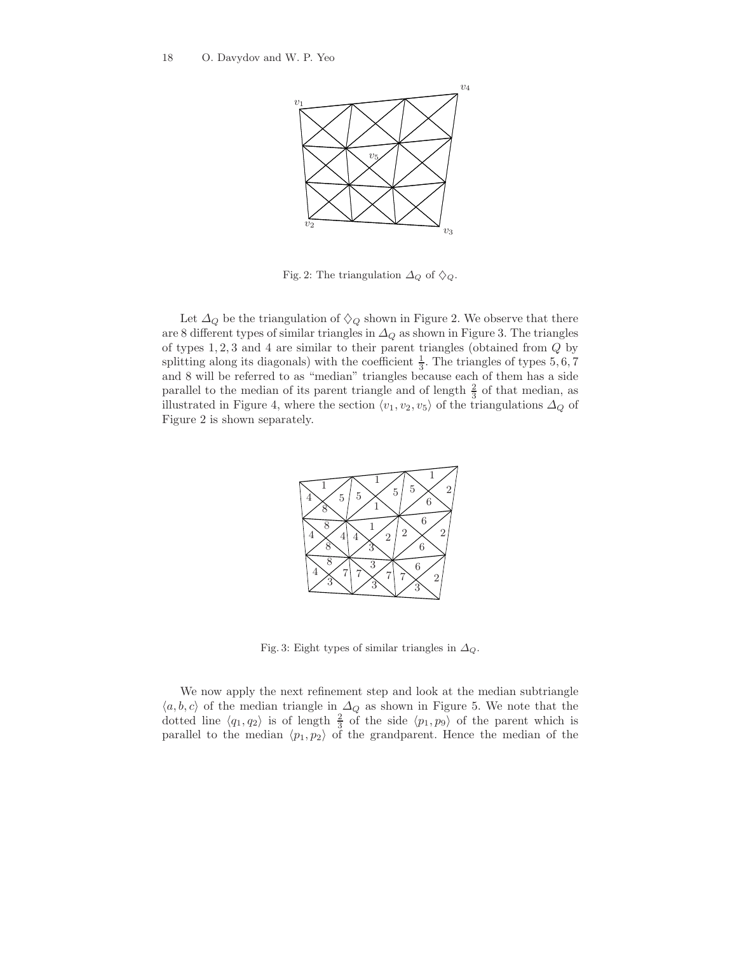

Fig. 2: The triangulation  $\Delta_Q$  of  $\diamondsuit_Q$ .

Let  $\Delta_Q$  be the triangulation of  $\diamondsuit_Q$  shown in Figure 2. We observe that there are 8 different types of similar triangles in  $\Delta_Q$  as shown in Figure 3. The triangles of types 1, 2, 3 and 4 are similar to their parent triangles (obtained from Q by splitting along its diagonals) with the coefficient  $\frac{1}{3}$ . The triangles of types 5, 6, 7 and 8 will be referred to as "median" triangles because each of them has a side parallel to the median of its parent triangle and of length  $\frac{2}{3}$  of that median, as illustrated in Figure 4, where the section  $\langle v_1, v_2, v_5 \rangle$  of the triangulations  $\Delta_Q$  of Figure 2 is shown separately.



Fig. 3: Eight types of similar triangles in  $\Delta_Q$ .

We now apply the next refinement step and look at the median subtriangle  $\langle a, b, c \rangle$  of the median triangle in  $\Delta_Q$  as shown in Figure 5. We note that the dotted line  $\langle q_1, q_2 \rangle$  is of length  $\frac{2}{3}$  of the side  $\langle p_1, p_9 \rangle$  of the parent which is parallel to the median  $\langle p_1, p_2 \rangle$  of the grandparent. Hence the median of the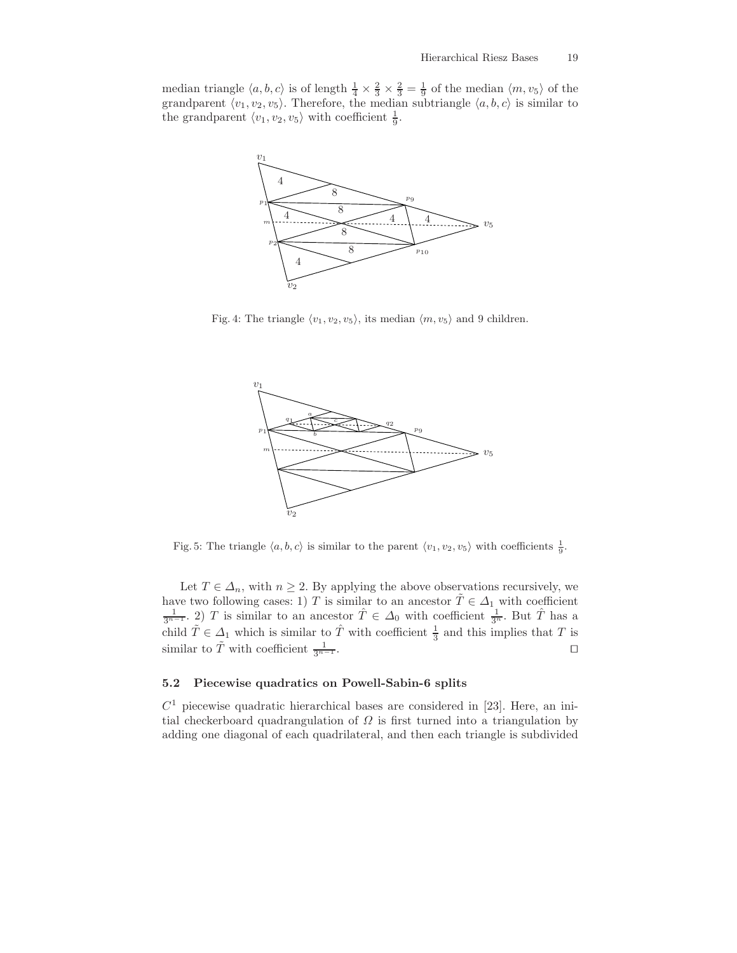median triangle  $\langle a, b, c \rangle$  is of length  $\frac{1}{4} \times \frac{2}{3} \times \frac{2}{3} = \frac{1}{9}$  of the median  $\langle m, v_5 \rangle$  of the grandparent  $\langle v_1, v_2, v_5 \rangle$ . Therefore, the median subtriangle  $\langle a, b, c \rangle$  is similar to the grandparent  $\langle v_1, v_2, v_5 \rangle$  with coefficient  $\frac{1}{9}$ .



Fig. 4: The triangle  $\langle v_1, v_2, v_5 \rangle$ , its median  $\langle m, v_5 \rangle$  and 9 children.



Fig. 5: The triangle  $\langle a, b, c \rangle$  is similar to the parent  $\langle v_1, v_2, v_5 \rangle$  with coefficients  $\frac{1}{9}$ .

Let  $T \in \Delta_n$ , with  $n \geq 2$ . By applying the above observations recursively, we have two following cases: 1) T is similar to an ancestor  $\tilde{T} \in \Delta_1$  with coefficient  $\frac{1}{3^{n-1}}$ . 2) T is similar to an ancestor  $\hat{T} \in \Delta_0$  with coefficient  $\frac{1}{3^n}$ . But  $\hat{T}$  has a child  $\tilde{T} \in \Delta_1$  which is similar to  $\hat{T}$  with coefficient  $\frac{1}{3}$  and this implies that T is similar to  $\tilde{T}$  with coefficient  $\frac{1}{3^{n-1}}$ .  $\frac{1}{3^{n-1}}$ . □

## 5.2 Piecewise quadratics on Powell-Sabin-6 splits

 $C<sup>1</sup>$  piecewise quadratic hierarchical bases are considered in [23]. Here, an initial checkerboard quadrangulation of  $\Omega$  is first turned into a triangulation by adding one diagonal of each quadrilateral, and then each triangle is subdivided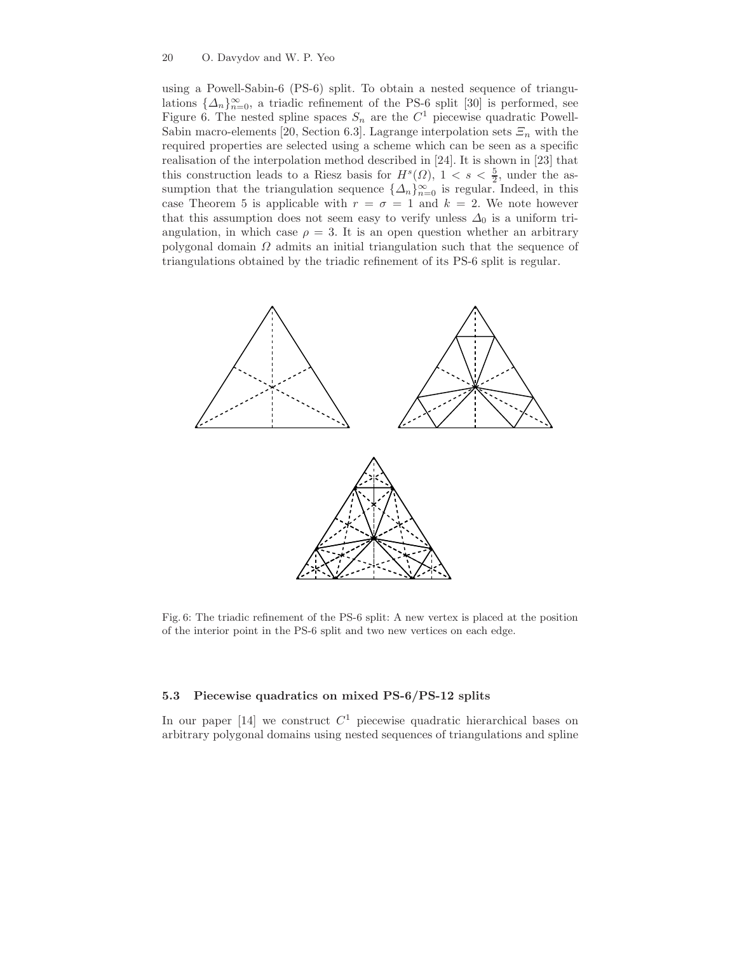#### 20 O. Davydov and W. P. Yeo

using a Powell-Sabin-6 (PS-6) split. To obtain a nested sequence of triangulations  $\{\Delta_n\}_{n=0}^{\infty}$ , a triadic refinement of the PS-6 split [30] is performed, see Figure 6. The nested spline spaces  $S_n$  are the  $C^1$  piecewise quadratic Powell-Sabin macro-elements [20, Section 6.3]. Lagrange interpolation sets  $\mathcal{E}_n$  with the required properties are selected using a scheme which can be seen as a specific realisation of the interpolation method described in [24]. It is shown in [23] that this construction leads to a Riesz basis for  $H^s(\Omega)$ ,  $1 < s < \frac{5}{2}$ , under the assumption that the triangulation sequence  $\{\Delta_n\}_{n=0}^{\infty}$  is regular. Indeed, in this case Theorem 5 is applicable with  $r = \sigma = 1$  and  $k = 2$ . We note however that this assumption does not seem easy to verify unless  $\Delta_0$  is a uniform triangulation, in which case  $\rho = 3$ . It is an open question whether an arbitrary polygonal domain  $\Omega$  admits an initial triangulation such that the sequence of triangulations obtained by the triadic refinement of its PS-6 split is regular.



Fig. 6: The triadic refinement of the PS-6 split: A new vertex is placed at the position of the interior point in the PS-6 split and two new vertices on each edge.

## 5.3 Piecewise quadratics on mixed PS-6/PS-12 splits

In our paper [14] we construct  $C<sup>1</sup>$  piecewise quadratic hierarchical bases on arbitrary polygonal domains using nested sequences of triangulations and spline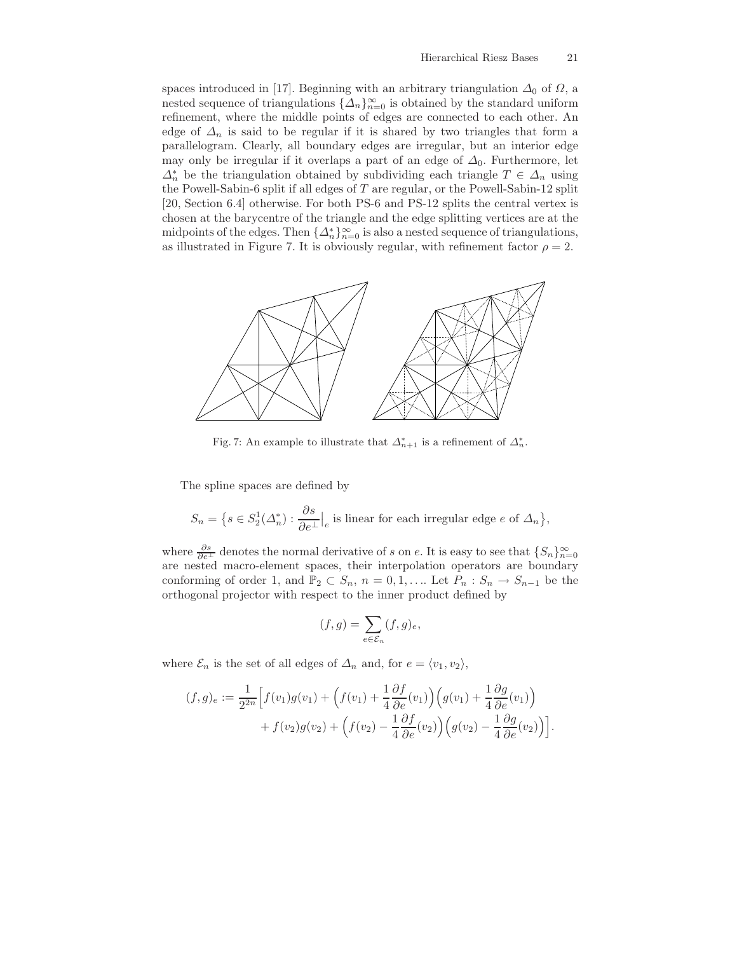spaces introduced in [17]. Beginning with an arbitrary triangulation  $\Delta_0$  of  $\Omega$ , a nested sequence of triangulations  $\{\Delta_n\}_{n=0}^{\infty}$  is obtained by the standard uniform refinement, where the middle points of edges are connected to each other. An edge of  $\Delta_n$  is said to be regular if it is shared by two triangles that form a parallelogram. Clearly, all boundary edges are irregular, but an interior edge may only be irregular if it overlaps a part of an edge of  $\Delta_0$ . Furthermore, let  $\Delta_n^*$  be the triangulation obtained by subdividing each triangle  $T \in \Delta_n$  using the Powell-Sabin-6 split if all edges of  $T$  are regular, or the Powell-Sabin-12 split [20, Section 6.4] otherwise. For both PS-6 and PS-12 splits the central vertex is chosen at the barycentre of the triangle and the edge splitting vertices are at the midpoints of the edges. Then  $\{\Delta_n^*\}_{n=0}^{\infty}$  is also a nested sequence of triangulations, as illustrated in Figure 7. It is obviously regular, with refinement factor  $\rho = 2$ .



Fig. 7: An example to illustrate that  $\Delta_{n+1}^*$  is a refinement of  $\Delta_n^*$ .

The spline spaces are defined by

$$
S_n = \left\{ s \in S_2^1(\Delta_n^*) : \frac{\partial s}{\partial e^\perp} \Big|_e \text{ is linear for each irregular edge } e \text{ of } \Delta_n \right\},\
$$

where  $\frac{\partial s}{\partial e^{\perp}}$  denotes the normal derivative of s on e. It is easy to see that  $\{S_n\}_{n=0}^{\infty}$ are nested macro-element spaces, their interpolation operators are boundary conforming of order 1, and  $\mathbb{P}_2 \subset S_n$ ,  $n = 0, 1, \ldots$  Let  $P_n : S_n \to S_{n-1}$  be the orthogonal projector with respect to the inner product defined by

$$
(f,g) = \sum_{e \in \mathcal{E}_n} (f,g)_e,
$$

where  $\mathcal{E}_n$  is the set of all edges of  $\Delta_n$  and, for  $e = \langle v_1, v_2 \rangle$ ,

$$
(f,g)_e := \frac{1}{2^{2n}} \Big[ f(v_1)g(v_1) + \Big(f(v_1) + \frac{1}{4}\frac{\partial f}{\partial e}(v_1)\Big) \Big(g(v_1) + \frac{1}{4}\frac{\partial g}{\partial e}(v_1)\Big) + f(v_2)g(v_2) + \Big(f(v_2) - \frac{1}{4}\frac{\partial f}{\partial e}(v_2)\Big) \Big(g(v_2) - \frac{1}{4}\frac{\partial g}{\partial e}(v_2)\Big) \Big].
$$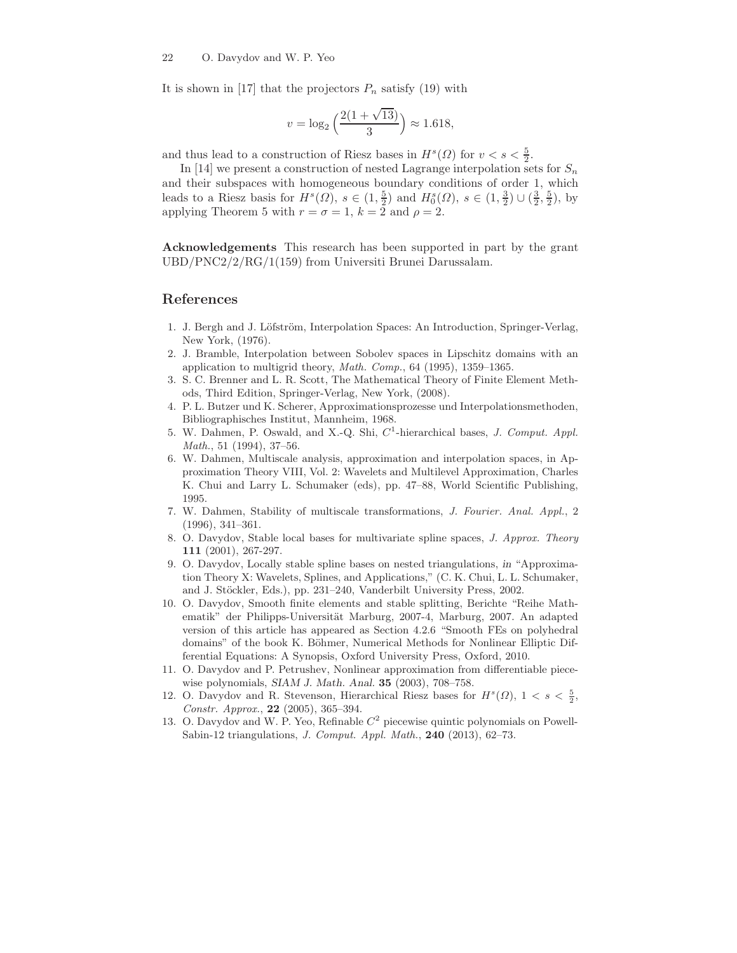It is shown in [17] that the projectors  $P_n$  satisfy (19) with

$$
v = \log_2\left(\frac{2(1+\sqrt{13})}{3}\right) \approx 1.618,
$$

and thus lead to a construction of Riesz bases in  $H<sup>s</sup>(\Omega)$  for  $v < s < \frac{5}{2}$ .

In [14] we present a construction of nested Lagrange interpolation sets for  $S_n$ and their subspaces with homogeneous boundary conditions of order 1, which leads to a Riesz basis for  $H^s(\Omega)$ ,  $s \in (1, \frac{5}{2})$  and  $H_0^s(\Omega)$ ,  $s \in (1, \frac{3}{2}) \cup (\frac{3}{2}, \frac{5}{2})$ , by applying Theorem 5 with  $r = \sigma = 1$ ,  $k = 2$  and  $\rho = 2$ .

Acknowledgements This research has been supported in part by the grant UBD/PNC2/2/RG/1(159) from Universiti Brunei Darussalam.

## References

- 1. J. Bergh and J. Löfström, Interpolation Spaces: An Introduction, Springer-Verlag, New York, (1976).
- 2. J. Bramble, Interpolation between Sobolev spaces in Lipschitz domains with an application to multigrid theory, Math. Comp., 64 (1995), 1359–1365.
- 3. S. C. Brenner and L. R. Scott, The Mathematical Theory of Finite Element Methods, Third Edition, Springer-Verlag, New York, (2008).
- 4. P. L. Butzer und K. Scherer, Approximationsprozesse und Interpolationsmethoden, Bibliographisches Institut, Mannheim, 1968.
- 5. W. Dahmen, P. Oswald, and X.-Q. Shi,  $C<sup>1</sup>$ -hierarchical bases, *J. Comput. Appl.* Math., 51 (1994), 37–56.
- 6. W. Dahmen, Multiscale analysis, approximation and interpolation spaces, in Approximation Theory VIII, Vol. 2: Wavelets and Multilevel Approximation, Charles K. Chui and Larry L. Schumaker (eds), pp. 47–88, World Scientific Publishing, 1995.
- 7. W. Dahmen, Stability of multiscale transformations, J. Fourier. Anal. Appl., 2 (1996), 341–361.
- 8. O. Davydov, Stable local bases for multivariate spline spaces, J. Approx. Theory 111 (2001), 267-297.
- 9. O. Davydov, Locally stable spline bases on nested triangulations, in "Approximation Theory X: Wavelets, Splines, and Applications," (C. K. Chui, L. L. Schumaker, and J. Stöckler, Eds.), pp. 231–240, Vanderbilt University Press, 2002.
- 10. O. Davydov, Smooth finite elements and stable splitting, Berichte "Reihe Mathematik" der Philipps-Universität Marburg, 2007-4, Marburg, 2007. An adapted version of this article has appeared as Section 4.2.6 "Smooth FEs on polyhedral domains" of the book K. Böhmer, Numerical Methods for Nonlinear Elliptic Differential Equations: A Synopsis, Oxford University Press, Oxford, 2010.
- 11. O. Davydov and P. Petrushev, Nonlinear approximation from differentiable piecewise polynomials, SIAM J. Math. Anal. 35 (2003), 708–758.
- 12. O. Davydov and R. Stevenson, Hierarchical Riesz bases for  $H^s(\Omega)$ ,  $1 < s < \frac{5}{2}$ , Constr. Approx., 22 (2005), 365–394.
- 13. O. Davydov and W. P. Yeo, Refinable  $C<sup>2</sup>$  piecewise quintic polynomials on Powell-Sabin-12 triangulations, J. Comput. Appl. Math., 240 (2013), 62–73.